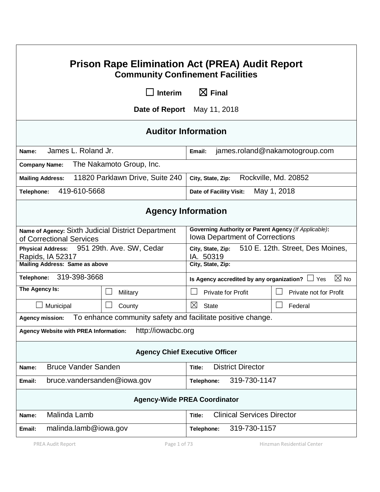| <b>Prison Rape Elimination Act (PREA) Audit Report</b><br><b>Community Confinement Facilities</b> |                                                             |                                                                                                |                                   |
|---------------------------------------------------------------------------------------------------|-------------------------------------------------------------|------------------------------------------------------------------------------------------------|-----------------------------------|
|                                                                                                   | <b>Interim</b>                                              | $\boxtimes$ Final                                                                              |                                   |
|                                                                                                   |                                                             | Date of Report May 11, 2018                                                                    |                                   |
| <b>Auditor Information</b>                                                                        |                                                             |                                                                                                |                                   |
| James L. Roland Jr.<br>Name:                                                                      |                                                             | james.roland@nakamotogroup.com<br>Email:                                                       |                                   |
| The Nakamoto Group, Inc.<br><b>Company Name:</b>                                                  |                                                             |                                                                                                |                                   |
| <b>Mailing Address:</b>                                                                           | 11820 Parklawn Drive, Suite 240                             | Rockville, Md. 20852<br>City, State, Zip:                                                      |                                   |
| 419-610-5668<br>Telephone:                                                                        |                                                             | May 1, 2018<br>Date of Facility Visit:                                                         |                                   |
| <b>Agency Information</b>                                                                         |                                                             |                                                                                                |                                   |
| Name of Agency: Sixth Judicial District Department<br>of Correctional Services                    |                                                             | Governing Authority or Parent Agency (If Applicable):<br><b>Iowa Department of Corrections</b> |                                   |
| 951 29th. Ave. SW, Cedar<br><b>Physical Address:</b><br>Rapids, IA 52317                          |                                                             | 510 E. 12th. Street, Des Moines,<br>City, State, Zip:<br>IA. 50319                             |                                   |
| <b>Mailing Address: Same as above</b>                                                             |                                                             | City, State, Zip:                                                                              |                                   |
| 319-398-3668<br>Telephone:                                                                        |                                                             | Is Agency accredited by any organization? $\Box$ Yes                                           | $\boxtimes$ No                    |
| The Agency Is:                                                                                    | Military                                                    | <b>Private for Profit</b>                                                                      | Private not for Profit            |
| Municipal                                                                                         | County                                                      | $\boxtimes$<br><b>State</b>                                                                    | Federal                           |
| <b>Agency mission:</b>                                                                            | To enhance community safety and facilitate positive change. |                                                                                                |                                   |
| http://iowacbc.org<br><b>Agency Website with PREA Information:</b>                                |                                                             |                                                                                                |                                   |
| <b>Agency Chief Executive Officer</b>                                                             |                                                             |                                                                                                |                                   |
| <b>Bruce Vander Sanden</b><br>Name:                                                               |                                                             | <b>District Director</b><br>Title:                                                             |                                   |
| bruce.vandersanden@iowa.gov<br>Email:                                                             |                                                             | 319-730-1147<br>Telephone:                                                                     |                                   |
| <b>Agency-Wide PREA Coordinator</b>                                                               |                                                             |                                                                                                |                                   |
| Malinda Lamb<br>Name:                                                                             | Title:                                                      |                                                                                                | <b>Clinical Services Director</b> |
| malinda.lamb@iowa.gov<br>Email:                                                                   |                                                             | 319-730-1157<br>Telephone:                                                                     |                                   |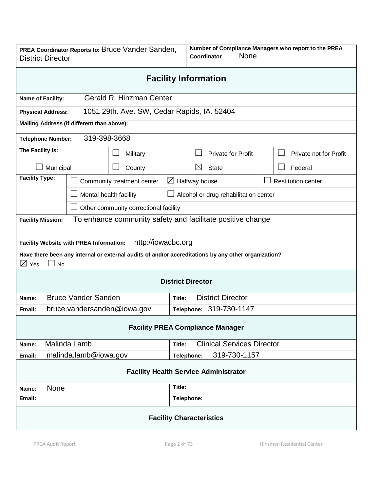| PREA Coordinator Reports to: Bruce Vander Sanden,<br><b>District Director</b> |                                                                 |                                             | <b>None</b><br>Coordinator        | Number of Compliance Managers who report to the PREA                                                |                           |
|-------------------------------------------------------------------------------|-----------------------------------------------------------------|---------------------------------------------|-----------------------------------|-----------------------------------------------------------------------------------------------------|---------------------------|
| <b>Facility Information</b>                                                   |                                                                 |                                             |                                   |                                                                                                     |                           |
| Name of Facility:                                                             |                                                                 | Gerald R. Hinzman Center                    |                                   |                                                                                                     |                           |
| <b>Physical Address:</b>                                                      |                                                                 | 1051 29th. Ave. SW, Cedar Rapids, IA. 52404 |                                   |                                                                                                     |                           |
| Mailing Address (if different than above):                                    |                                                                 |                                             |                                   |                                                                                                     |                           |
| 319-398-3668<br><b>Telephone Number:</b>                                      |                                                                 |                                             |                                   |                                                                                                     |                           |
| The Facility Is:                                                              |                                                                 | Military                                    |                                   | <b>Private for Profit</b>                                                                           | Private not for Profit    |
| Municipal                                                                     |                                                                 | County                                      |                                   | ⊠<br><b>State</b>                                                                                   | Federal                   |
| <b>Facility Type:</b>                                                         |                                                                 | Community treatment center                  |                                   | $\boxtimes$ Halfway house                                                                           | <b>Restitution center</b> |
|                                                                               | Mental health facility<br>Alcohol or drug rehabilitation center |                                             |                                   |                                                                                                     |                           |
|                                                                               |                                                                 | Other community correctional facility       |                                   |                                                                                                     |                           |
| <b>Facility Mission:</b>                                                      |                                                                 |                                             |                                   | To enhance community safety and facilitate positive change                                          |                           |
|                                                                               |                                                                 |                                             |                                   |                                                                                                     |                           |
| Facility Website with PREA Information:                                       |                                                                 | http://iowacbc.org                          |                                   |                                                                                                     |                           |
| $\boxtimes$ Yes<br><b>No</b>                                                  |                                                                 |                                             |                                   | Have there been any internal or external audits of and/or accreditations by any other organization? |                           |
|                                                                               |                                                                 |                                             | <b>District Director</b>          |                                                                                                     |                           |
| <b>Bruce Vander Sanden</b><br><b>District Director</b><br>Name:<br>Title:     |                                                                 |                                             |                                   |                                                                                                     |                           |
| Email:                                                                        | bruce.vandersanden@iowa.gov<br>Telephone: 319-730-1147          |                                             |                                   |                                                                                                     |                           |
|                                                                               |                                                                 |                                             |                                   | <b>Facility PREA Compliance Manager</b>                                                             |                           |
|                                                                               |                                                                 |                                             |                                   |                                                                                                     |                           |
| Malinda Lamb<br>Name:                                                         |                                                                 | Title:                                      | <b>Clinical Services Director</b> |                                                                                                     |                           |
| malinda.lamb@iowa.gov<br>319-730-1157<br>Email:<br>Telephone:                 |                                                                 |                                             |                                   |                                                                                                     |                           |
| <b>Facility Health Service Administrator</b>                                  |                                                                 |                                             |                                   |                                                                                                     |                           |
| None<br>Name:                                                                 | Title:                                                          |                                             |                                   |                                                                                                     |                           |
| Email:                                                                        |                                                                 |                                             | Telephone:                        |                                                                                                     |                           |
| <b>Facility Characteristics</b>                                               |                                                                 |                                             |                                   |                                                                                                     |                           |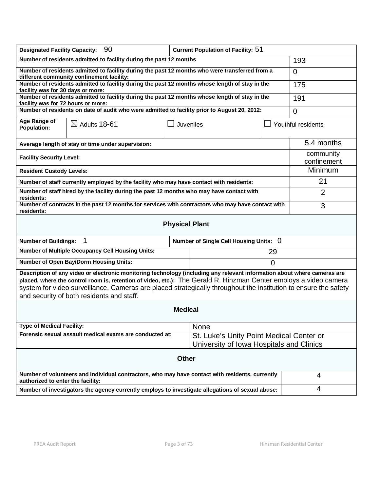| <b>Designated Facility Capacity:</b><br>90                                                                                                                                                                                                                                                                                                                                                                    | <b>Current Population of Facility: 51</b> |                                                                                      |                          |                    |
|---------------------------------------------------------------------------------------------------------------------------------------------------------------------------------------------------------------------------------------------------------------------------------------------------------------------------------------------------------------------------------------------------------------|-------------------------------------------|--------------------------------------------------------------------------------------|--------------------------|--------------------|
| Number of residents admitted to facility during the past 12 months                                                                                                                                                                                                                                                                                                                                            |                                           | 193                                                                                  |                          |                    |
| Number of residents admitted to facility during the past 12 months who were transferred from a<br>different community confinement facility:                                                                                                                                                                                                                                                                   |                                           |                                                                                      | $\overline{0}$           |                    |
| Number of residents admitted to facility during the past 12 months whose length of stay in the<br>facility was for 30 days or more:                                                                                                                                                                                                                                                                           |                                           |                                                                                      |                          | 175                |
| Number of residents admitted to facility during the past 12 months whose length of stay in the<br>facility was for 72 hours or more:                                                                                                                                                                                                                                                                          |                                           |                                                                                      | 191                      |                    |
| Number of residents on date of audit who were admitted to facility prior to August 20, 2012:                                                                                                                                                                                                                                                                                                                  |                                           |                                                                                      |                          | 0                  |
| Age Range of<br>$\boxtimes$ Adults 18-61<br><b>Population:</b>                                                                                                                                                                                                                                                                                                                                                |                                           | Juveniles                                                                            |                          | Youthful residents |
| Average length of stay or time under supervision:                                                                                                                                                                                                                                                                                                                                                             |                                           |                                                                                      | 5.4 months               |                    |
| <b>Facility Security Level:</b>                                                                                                                                                                                                                                                                                                                                                                               |                                           |                                                                                      | community<br>confinement |                    |
| <b>Resident Custody Levels:</b>                                                                                                                                                                                                                                                                                                                                                                               |                                           |                                                                                      |                          | Minimum            |
| Number of staff currently employed by the facility who may have contact with residents:                                                                                                                                                                                                                                                                                                                       |                                           | 21                                                                                   |                          |                    |
| Number of staff hired by the facility during the past 12 months who may have contact with<br>residents:                                                                                                                                                                                                                                                                                                       |                                           | $\overline{2}$                                                                       |                          |                    |
| Number of contracts in the past 12 months for services with contractors who may have contact with<br>residents:                                                                                                                                                                                                                                                                                               |                                           |                                                                                      | 3                        |                    |
| <b>Physical Plant</b>                                                                                                                                                                                                                                                                                                                                                                                         |                                           |                                                                                      |                          |                    |
| $\overline{1}$<br><b>Number of Buildings:</b><br>Number of Single Cell Housing Units: 0                                                                                                                                                                                                                                                                                                                       |                                           |                                                                                      |                          |                    |
| <b>Number of Multiple Occupancy Cell Housing Units:</b><br>29                                                                                                                                                                                                                                                                                                                                                 |                                           |                                                                                      |                          |                    |
| <b>Number of Open Bay/Dorm Housing Units:</b><br>$\overline{0}$                                                                                                                                                                                                                                                                                                                                               |                                           |                                                                                      |                          |                    |
| Description of any video or electronic monitoring technology (including any relevant information about where cameras are<br>placed, where the control room is, retention of video, etc.): The Gerald R. Hinzman Center employs a video camera<br>system for video surveillance. Cameras are placed strategically throughout the institution to ensure the safety<br>and security of both residents and staff. |                                           |                                                                                      |                          |                    |
| <b>Medical</b>                                                                                                                                                                                                                                                                                                                                                                                                |                                           |                                                                                      |                          |                    |
| <b>Type of Medical Facility:</b><br><b>None</b>                                                                                                                                                                                                                                                                                                                                                               |                                           |                                                                                      |                          |                    |
| Forensic sexual assault medical exams are conducted at:                                                                                                                                                                                                                                                                                                                                                       |                                           | St. Luke's Unity Point Medical Center or<br>University of Iowa Hospitals and Clinics |                          |                    |
| <b>Other</b>                                                                                                                                                                                                                                                                                                                                                                                                  |                                           |                                                                                      |                          |                    |
| Number of volunteers and individual contractors, who may have contact with residents, currently<br>4<br>authorized to enter the facility:                                                                                                                                                                                                                                                                     |                                           |                                                                                      |                          |                    |
| Number of investigators the agency currently employs to investigate allegations of sexual abuse:                                                                                                                                                                                                                                                                                                              |                                           | 4                                                                                    |                          |                    |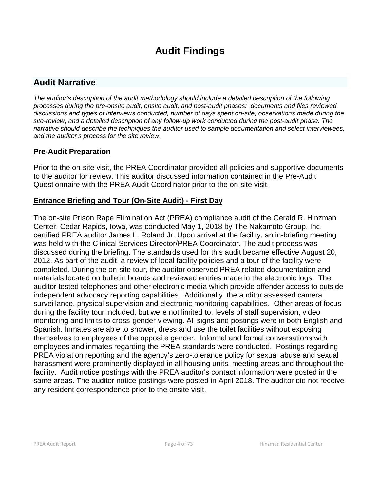# **Audit Findings**

## **Audit Narrative**

*The auditor's description of the audit methodology should include a detailed description of the following processes during the pre-onsite audit, onsite audit, and post-audit phases: documents and files reviewed, discussions and types of interviews conducted, number of days spent on-site, observations made during the site-review, and a detailed description of any follow-up work conducted during the post-audit phase. The narrative should describe the techniques the auditor used to sample documentation and select interviewees, and the auditor's process for the site review.*

## **Pre-Audit Preparation**

Prior to the on-site visit, the PREA Coordinator provided all policies and supportive documents to the auditor for review. This auditor discussed information contained in the Pre-Audit Questionnaire with the PREA Audit Coordinator prior to the on-site visit.

## **Entrance Briefing and Tour (On-Site Audit) - First Day**

The on-site Prison Rape Elimination Act (PREA) compliance audit of the Gerald R. Hinzman Center, Cedar Rapids, Iowa, was conducted May 1, 2018 by The Nakamoto Group, Inc. certified PREA auditor James L. Roland Jr. Upon arrival at the facility, an in-briefing meeting was held with the Clinical Services Director/PREA Coordinator. The audit process was discussed during the briefing. The standards used for this audit became effective August 20, 2012. As part of the audit, a review of local facility policies and a tour of the facility were completed. During the on-site tour, the auditor observed PREA related documentation and materials located on bulletin boards and reviewed entries made in the electronic logs. The auditor tested telephones and other electronic media which provide offender access to outside independent advocacy reporting capabilities. Additionally, the auditor assessed camera surveillance, physical supervision and electronic monitoring capabilities. Other areas of focus during the facility tour included, but were not limited to, levels of staff supervision, video monitoring and limits to cross-gender viewing. All signs and postings were in both English and Spanish. Inmates are able to shower, dress and use the toilet facilities without exposing themselves to employees of the opposite gender. Informal and formal conversations with employees and inmates regarding the PREA standards were conducted. Postings regarding PREA violation reporting and the agency's zero-tolerance policy for sexual abuse and sexual harassment were prominently displayed in all housing units, meeting areas and throughout the facility. Audit notice postings with the PREA auditor's contact information were posted in the same areas. The auditor notice postings were posted in April 2018. The auditor did not receive any resident correspondence prior to the onsite visit.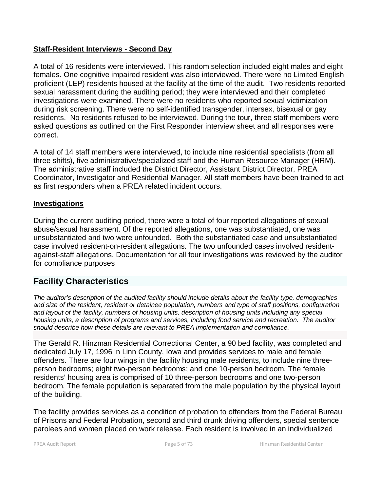## **Staff-Resident Interviews - Second Day**

A total of 16 residents were interviewed. This random selection included eight males and eight females. One cognitive impaired resident was also interviewed. There were no Limited English proficient (LEP) residents housed at the facility at the time of the audit. Two residents reported sexual harassment during the auditing period; they were interviewed and their completed investigations were examined. There were no residents who reported sexual victimization during risk screening. There were no self-identified transgender, intersex, bisexual or gay residents. No residents refused to be interviewed. During the tour, three staff members were asked questions as outlined on the First Responder interview sheet and all responses were correct.

A total of 14 staff members were interviewed, to include nine residential specialists (from all three shifts), five administrative/specialized staff and the Human Resource Manager (HRM). The administrative staff included the District Director, Assistant District Director, PREA Coordinator, Investigator and Residential Manager. All staff members have been trained to act as first responders when a PREA related incident occurs.

## **Investigations**

During the current auditing period, there were a total of four reported allegations of sexual abuse/sexual harassment. Of the reported allegations, one was substantiated, one was unsubstantiated and two were unfounded. Both the substantiated case and unsubstantiated case involved resident-on-resident allegations. The two unfounded cases involved residentagainst-staff allegations. Documentation for all four investigations was reviewed by the auditor for compliance purposes

## **Facility Characteristics**

*The auditor's description of the audited facility should include details about the facility type, demographics and size of the resident, resident or detainee population, numbers and type of staff positions, configuration and layout of the facility, numbers of housing units, description of housing units including any special housing units, a description of programs and services, including food service and recreation. The auditor should describe how these details are relevant to PREA implementation and compliance.*

The Gerald R. Hinzman Residential Correctional Center, a 90 bed facility, was completed and dedicated July 17, 1996 in Linn County, Iowa and provides services to male and female offenders. There are four wings in the facility housing male residents, to include nine threeperson bedrooms; eight two-person bedrooms; and one 10-person bedroom. The female residents' housing area is comprised of 10 three-person bedrooms and one two-person bedroom. The female population is separated from the male population by the physical layout of the building.

The facility provides services as a condition of probation to offenders from the Federal Bureau of Prisons and Federal Probation, second and third drunk driving offenders, special sentence parolees and women placed on work release. Each resident is involved in an individualized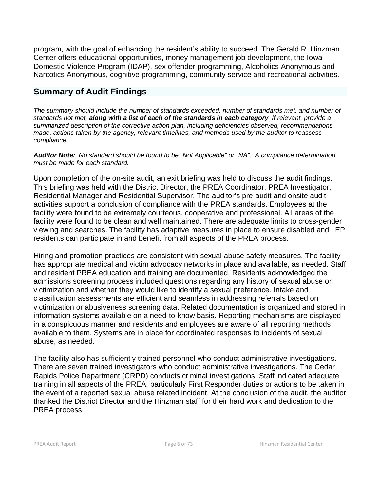program, with the goal of enhancing the resident's ability to succeed. The Gerald R. Hinzman Center offers educational opportunities, money management job development, the Iowa Domestic Violence Program (IDAP), sex offender programming, Alcoholics Anonymous and Narcotics Anonymous, cognitive programming, community service and recreational activities.

## **Summary of Audit Findings**

*The summary should include the number of standards exceeded, number of standards met, and number of standards not met, along with a list of each of the standards in each category. If relevant, provide a summarized description of the corrective action plan, including deficiencies observed, recommendations made, actions taken by the agency, relevant timelines, and methods used by the auditor to reassess compliance.*

*Auditor Note: No standard should be found to be "Not Applicable" or "NA". A compliance determination must be made for each standard.*

Upon completion of the on-site audit, an exit briefing was held to discuss the audit findings. This briefing was held with the District Director, the PREA Coordinator, PREA Investigator, Residential Manager and Residential Supervisor. The auditor's pre-audit and onsite audit activities support a conclusion of compliance with the PREA standards. Employees at the facility were found to be extremely courteous, cooperative and professional. All areas of the facility were found to be clean and well maintained. There are adequate limits to cross-gender viewing and searches. The facility has adaptive measures in place to ensure disabled and LEP residents can participate in and benefit from all aspects of the PREA process.

Hiring and promotion practices are consistent with sexual abuse safety measures. The facility has appropriate medical and victim advocacy networks in place and available, as needed. Staff and resident PREA education and training are documented. Residents acknowledged the admissions screening process included questions regarding any history of sexual abuse or victimization and whether they would like to identify a sexual preference. Intake and classification assessments are efficient and seamless in addressing referrals based on victimization or abusiveness screening data. Related documentation is organized and stored in information systems available on a need-to-know basis. Reporting mechanisms are displayed in a conspicuous manner and residents and employees are aware of all reporting methods available to them. Systems are in place for coordinated responses to incidents of sexual abuse, as needed.

The facility also has sufficiently trained personnel who conduct administrative investigations. There are seven trained investigators who conduct administrative investigations. The Cedar Rapids Police Department (CRPD) conducts criminal investigations. Staff indicated adequate training in all aspects of the PREA, particularly First Responder duties or actions to be taken in the event of a reported sexual abuse related incident. At the conclusion of the audit, the auditor thanked the District Director and the Hinzman staff for their hard work and dedication to the PREA process.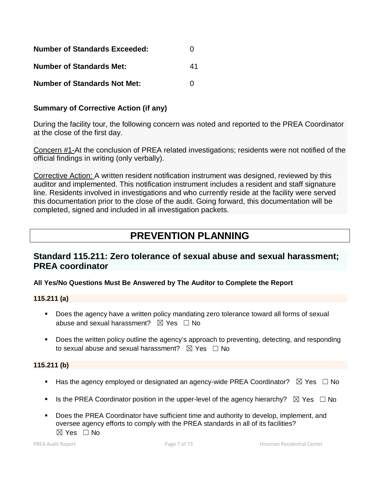| <b>Number of Standards Exceeded:</b> | $\mathcal{L}$ |
|--------------------------------------|---------------|
| <b>Number of Standards Met:</b>      | 41            |
| <b>Number of Standards Not Met:</b>  | O             |

## **Summary of Corrective Action (if any)**

During the facility tour, the following concern was noted and reported to the PREA Coordinator at the close of the first day.

Concern #1-At the conclusion of PREA related investigations; residents were not notified of the official findings in writing (only verbally).

Corrective Action: A written resident notification instrument was designed, reviewed by this auditor and implemented. This notification instrument includes a resident and staff signature line. Residents involved in investigations and who currently reside at the facility were served this documentation prior to the close of the audit. Going forward, this documentation will be completed, signed and included in all investigation packets.

# **PREVENTION PLANNING**

## **Standard 115.211: Zero tolerance of sexual abuse and sexual harassment; PREA coordinator**

## **All Yes/No Questions Must Be Answered by The Auditor to Complete the Report**

## **115.211 (a)**

- **Does the agency have a written policy mandating zero tolerance toward all forms of sexual** abuse and sexual harassment?  $\boxtimes$  Yes  $\Box$  No
- **Does the written policy outline the agency's approach to preventing, detecting, and responding** to sexual abuse and sexual harassment?  $\boxtimes$  Yes  $\Box$  No

## **115.211 (b)**

- Has the agency employed or designated an agency-wide PREA Coordinator?  $\boxtimes$  Yes  $\Box$  No
- Is the PREA Coordinator position in the upper-level of the agency hierarchy?  $\boxtimes$  Yes  $\Box$  No
- Does the PREA Coordinator have sufficient time and authority to develop, implement, and oversee agency efforts to comply with the PREA standards in all of its facilities?  $\boxtimes$  Yes  $\Box$  No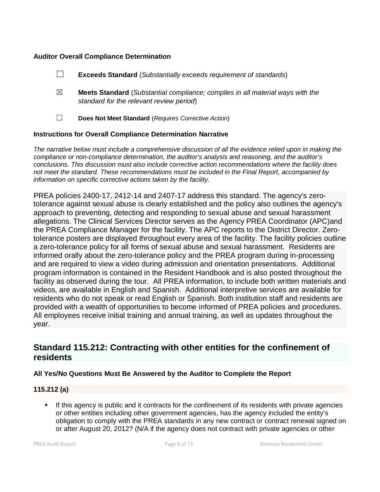## **Auditor Overall Compliance Determination**

|                                                             | <b>Exceeds Standard</b> (Substantially exceeds requirement of standards)                                                          |  |
|-------------------------------------------------------------|-----------------------------------------------------------------------------------------------------------------------------------|--|
| ⊠                                                           | <b>Meets Standard</b> (Substantial compliance; complies in all material ways with the<br>standard for the relevant review period) |  |
| $\Box$                                                      | Does Not Meet Standard (Requires Corrective Action)                                                                               |  |
| Instructions for Overall Compliance Determination Narrative |                                                                                                                                   |  |

*The narrative below must include a comprehensive discussion of all the evidence relied upon in making the compliance or non-compliance determination, the auditor's analysis and reasoning, and the auditor's conclusions. This discussion must also include corrective action recommendations where the facility does not meet the standard. These recommendations must be included in the Final Report, accompanied by information on specific corrective actions taken by the facility.*

PREA policies 2400-17, 2412-14 and 2407-17 address this standard. The agency's zerotolerance against sexual abuse is clearly established and the policy also outlines the agency's approach to preventing, detecting and responding to sexual abuse and sexual harassment allegations. The Clinical Services Director serves as the Agency PREA Coordinator (APC)and the PREA Compliance Manager for the facility. The APC reports to the District Director. Zerotolerance posters are displayed throughout every area of the facility. The facility policies outline a zero-tolerance policy for all forms of sexual abuse and sexual harassment. Residents are informed orally about the zero-tolerance policy and the PREA program during in-processing and are required to view a video during admission and orientation presentations. Additional program information is contained in the Resident Handbook and is also posted throughout the facility as observed during the tour. All PREA information, to include both written materials and videos, are available in English and Spanish. Additional interpretive services are available for residents who do not speak or read English or Spanish. Both institution staff and residents are provided with a wealth of opportunities to become informed of PREA policies and procedures. All employees receive initial training and annual training, as well as updates throughout the year.

## **Standard 115.212: Contracting with other entities for the confinement of residents**

## **All Yes/No Questions Must Be Answered by the Auditor to Complete the Report**

## **115.212 (a)**

 If this agency is public and it contracts for the confinement of its residents with private agencies or other entities including other government agencies, has the agency included the entity's obligation to comply with the PREA standards in any new contract or contract renewal signed on or after August 20, 2012? (N/A if the agency does not contract with private agencies or other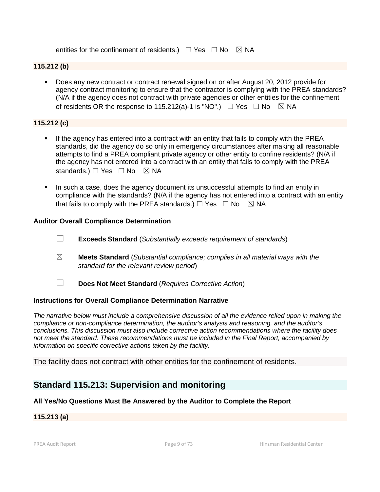entities for the confinement of residents.)  $\Box$  Yes  $\Box$  No  $\boxtimes$  NA

#### **115.212 (b)**

 Does any new contract or contract renewal signed on or after August 20, 2012 provide for agency contract monitoring to ensure that the contractor is complying with the PREA standards? (N/A if the agency does not contract with private agencies or other entities for the confinement of residents OR the response to 115.212(a)-1 is "NO".)  $\Box$  Yes  $\Box$  No  $\boxtimes$  NA

## **115.212 (c)**

- If the agency has entered into a contract with an entity that fails to comply with the PREA standards, did the agency do so only in emergency circumstances after making all reasonable attempts to find a PREA compliant private agency or other entity to confine residents? (N/A if the agency has not entered into a contract with an entity that fails to comply with the PREA standards.)  $\Box$  Yes  $\Box$  No  $\boxtimes$  NA
- In such a case, does the agency document its unsuccessful attempts to find an entity in compliance with the standards? (N/A if the agency has not entered into a contract with an entity that fails to comply with the PREA standards.)  $\Box$  Yes  $\Box$  No  $\boxtimes$  NA

#### **Auditor Overall Compliance Determination**

- ☐ **Exceeds Standard** (*Substantially exceeds requirement of standards*)
- ☒ **Meets Standard** (*Substantial compliance; complies in all material ways with the standard for the relevant review period*)
- ☐ **Does Not Meet Standard** (*Requires Corrective Action*)

#### **Instructions for Overall Compliance Determination Narrative**

*The narrative below must include a comprehensive discussion of all the evidence relied upon in making the compliance or non-compliance determination, the auditor's analysis and reasoning, and the auditor's conclusions. This discussion must also include corrective action recommendations where the facility does not meet the standard. These recommendations must be included in the Final Report, accompanied by information on specific corrective actions taken by the facility.*

The facility does not contract with other entities for the confinement of residents.

## **Standard 115.213: Supervision and monitoring**

## **All Yes/No Questions Must Be Answered by the Auditor to Complete the Report**

## **115.213 (a)**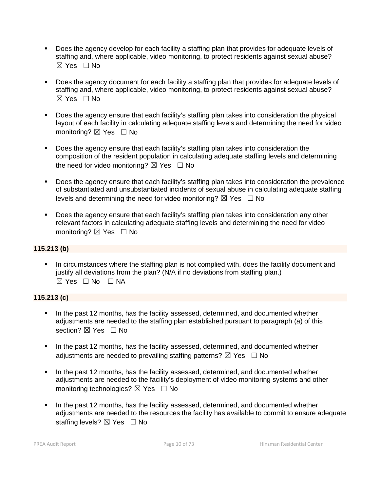- Does the agency develop for each facility a staffing plan that provides for adequate levels of staffing and, where applicable, video monitoring, to protect residents against sexual abuse? ☒ Yes ☐ No
- Does the agency document for each facility a staffing plan that provides for adequate levels of staffing and, where applicable, video monitoring, to protect residents against sexual abuse?  $\boxtimes$  Yes  $\Box$  No
- Does the agency ensure that each facility's staffing plan takes into consideration the physical layout of each facility in calculating adequate staffing levels and determining the need for video monitoring?  $\boxtimes$  Yes  $\Box$  No
- Does the agency ensure that each facility's staffing plan takes into consideration the composition of the resident population in calculating adequate staffing levels and determining the need for video monitoring?  $\boxtimes$  Yes  $\Box$  No
- Does the agency ensure that each facility's staffing plan takes into consideration the prevalence of substantiated and unsubstantiated incidents of sexual abuse in calculating adequate staffing levels and determining the need for video monitoring?  $\boxtimes$  Yes  $\Box$  No
- Does the agency ensure that each facility's staffing plan takes into consideration any other relevant factors in calculating adequate staffing levels and determining the need for video monitoring?  $\boxtimes$  Yes  $\Box$  No

## **115.213 (b)**

 In circumstances where the staffing plan is not complied with, does the facility document and justify all deviations from the plan? (N/A if no deviations from staffing plan.)  $\boxtimes$  Yes  $\Box$  No  $\Box$  NA

## **115.213 (c)**

- In the past 12 months, has the facility assessed, determined, and documented whether adjustments are needed to the staffing plan established pursuant to paragraph (a) of this section?  $\boxtimes$  Yes  $\Box$  No
- In the past 12 months, has the facility assessed, determined, and documented whether adjustments are needed to prevailing staffing patterns?  $\boxtimes$  Yes  $\Box$  No
- In the past 12 months, has the facility assessed, determined, and documented whether adjustments are needed to the facility's deployment of video monitoring systems and other monitoring technologies?  $\boxtimes$  Yes  $\Box$  No
- In the past 12 months, has the facility assessed, determined, and documented whether adjustments are needed to the resources the facility has available to commit to ensure adequate staffing levels?  $\boxtimes$  Yes  $\Box$  No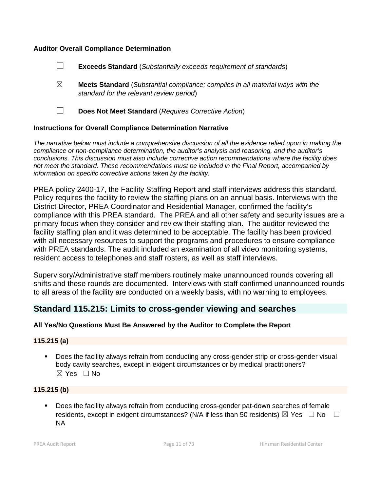#### **Auditor Overall Compliance Determination**

|             | <b>Exceeds Standard</b> (Substantially exceeds requirement of standards)                                                          |
|-------------|-----------------------------------------------------------------------------------------------------------------------------------|
| $\boxtimes$ | <b>Meets Standard</b> (Substantial compliance; complies in all material ways with the<br>standard for the relevant review period) |
|             | Does Not Meet Standard (Requires Corrective Action)                                                                               |

#### **Instructions for Overall Compliance Determination Narrative**

*The narrative below must include a comprehensive discussion of all the evidence relied upon in making the compliance or non-compliance determination, the auditor's analysis and reasoning, and the auditor's conclusions. This discussion must also include corrective action recommendations where the facility does not meet the standard. These recommendations must be included in the Final Report, accompanied by information on specific corrective actions taken by the facility.*

PREA policy 2400-17, the Facility Staffing Report and staff interviews address this standard. Policy requires the facility to review the staffing plans on an annual basis. Interviews with the District Director, PREA Coordinator and Residential Manager, confirmed the facility's compliance with this PREA standard. The PREA and all other safety and security issues are a primary focus when they consider and review their staffing plan. The auditor reviewed the facility staffing plan and it was determined to be acceptable. The facility has been provided with all necessary resources to support the programs and procedures to ensure compliance with PREA standards. The audit included an examination of all video monitoring systems, resident access to telephones and staff rosters, as well as staff interviews.

Supervisory/Administrative staff members routinely make unannounced rounds covering all shifts and these rounds are documented. Interviews with staff confirmed unannounced rounds to all areas of the facility are conducted on a weekly basis, with no warning to employees.

## **Standard 115.215: Limits to cross-gender viewing and searches**

## **All Yes/No Questions Must Be Answered by the Auditor to Complete the Report**

## **115.215 (a)**

 Does the facility always refrain from conducting any cross-gender strip or cross-gender visual body cavity searches, except in exigent circumstances or by medical practitioners?  $\boxtimes$  Yes  $\Box$  No

## **115.215 (b)**

 Does the facility always refrain from conducting cross-gender pat-down searches of female residents, except in exigent circumstances? (N/A if less than 50 residents)  $\boxtimes$  Yes  $\Box$  No  $\Box$ NA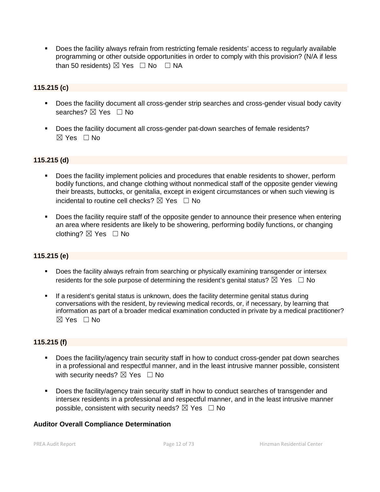Does the facility always refrain from restricting female residents' access to regularly available programming or other outside opportunities in order to comply with this provision? (N/A if less than 50 residents)  $\boxtimes$  Yes  $\Box$  No  $\Box$  NA

## **115.215 (c)**

- Does the facility document all cross-gender strip searches and cross-gender visual body cavity searches? ⊠ Yes □ No
- Does the facility document all cross-gender pat-down searches of female residents?  $\boxtimes$  Yes  $\Box$  No

## **115.215 (d)**

- Does the facility implement policies and procedures that enable residents to shower, perform bodily functions, and change clothing without nonmedical staff of the opposite gender viewing their breasts, buttocks, or genitalia, except in exigent circumstances or when such viewing is incidental to routine cell checks?  $\boxtimes$  Yes  $\Box$  No
- **Does the facility require staff of the opposite gender to announce their presence when entering** an area where residents are likely to be showering, performing bodily functions, or changing clothing?  $\boxtimes$  Yes  $\Box$  No

## **115.215 (e)**

- **Does the facility always refrain from searching or physically examining transgender or intersex** residents for the sole purpose of determining the resident's genital status?  $\boxtimes$  Yes  $\Box$  No
- If a resident's genital status is unknown, does the facility determine genital status during conversations with the resident, by reviewing medical records, or, if necessary, by learning that information as part of a broader medical examination conducted in private by a medical practitioner?  $\boxtimes$  Yes  $\Box$  No

## **115.215 (f)**

- Does the facility/agency train security staff in how to conduct cross-gender pat down searches in a professional and respectful manner, and in the least intrusive manner possible, consistent with security needs?  $\boxtimes$  Yes  $\Box$  No
- Does the facility/agency train security staff in how to conduct searches of transgender and intersex residents in a professional and respectful manner, and in the least intrusive manner possible, consistent with security needs?  $\boxtimes$  Yes  $\Box$  No

## **Auditor Overall Compliance Determination**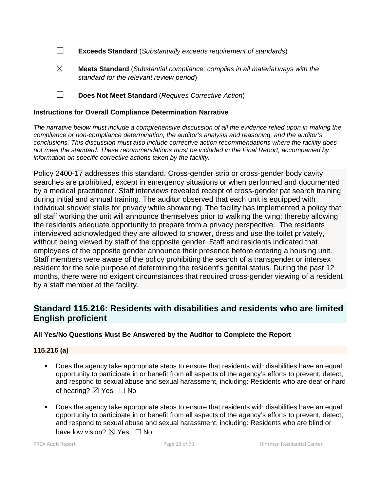- ☐ **Exceeds Standard** (*Substantially exceeds requirement of standards*)
- ☒ **Meets Standard** (*Substantial compliance; complies in all material ways with the standard for the relevant review period*)
- ☐ **Does Not Meet Standard** (*Requires Corrective Action*)

#### **Instructions for Overall Compliance Determination Narrative**

*The narrative below must include a comprehensive discussion of all the evidence relied upon in making the compliance or non-compliance determination, the auditor's analysis and reasoning, and the auditor's conclusions. This discussion must also include corrective action recommendations where the facility does not meet the standard. These recommendations must be included in the Final Report, accompanied by information on specific corrective actions taken by the facility.*

Policy 2400-17 addresses this standard. Cross-gender strip or cross-gender body cavity searches are prohibited, except in emergency situations or when performed and documented by a medical practitioner. Staff interviews revealed receipt of cross-gender pat search training during initial and annual training. The auditor observed that each unit is equipped with individual shower stalls for privacy while showering. The facility has implemented a policy that all staff working the unit will announce themselves prior to walking the wing; thereby allowing the residents adequate opportunity to prepare from a privacy perspective. The residents interviewed acknowledged they are allowed to shower, dress and use the toilet privately, without being viewed by staff of the opposite gender. Staff and residents indicated that employees of the opposite gender announce their presence before entering a housing unit. Staff members were aware of the policy prohibiting the search of a transgender or intersex resident for the sole purpose of determining the resident's genital status. During the past 12 months, there were no exigent circumstances that required cross-gender viewing of a resident by a staff member at the facility.

## **Standard 115.216: Residents with disabilities and residents who are limited English proficient**

## **All Yes/No Questions Must Be Answered by the Auditor to Complete the Report**

## **115.216 (a)**

- Does the agency take appropriate steps to ensure that residents with disabilities have an equal opportunity to participate in or benefit from all aspects of the agency's efforts to prevent, detect, and respond to sexual abuse and sexual harassment, including: Residents who are deaf or hard of hearing?  $\boxtimes$  Yes  $\Box$  No
- **Does the agency take appropriate steps to ensure that residents with disabilities have an equal** opportunity to participate in or benefit from all aspects of the agency's efforts to prevent, detect, and respond to sexual abuse and sexual harassment, including: Residents who are blind or have low vision?  $\nabla$  Yes  $\Box$  No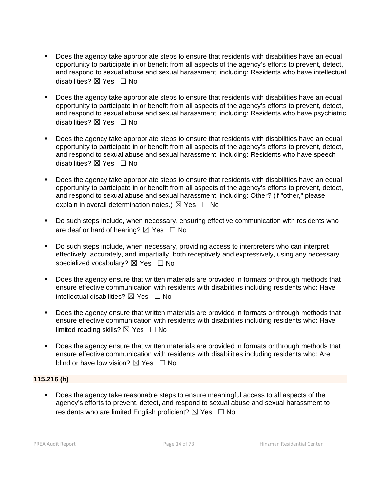- Does the agency take appropriate steps to ensure that residents with disabilities have an equal opportunity to participate in or benefit from all aspects of the agency's efforts to prevent, detect, and respond to sexual abuse and sexual harassment, including: Residents who have intellectual disabilities?  $\boxtimes$  Yes  $\Box$  No
- Does the agency take appropriate steps to ensure that residents with disabilities have an equal opportunity to participate in or benefit from all aspects of the agency's efforts to prevent, detect, and respond to sexual abuse and sexual harassment, including: Residents who have psychiatric disabilities?  $\boxtimes$  Yes  $\Box$  No
- Does the agency take appropriate steps to ensure that residents with disabilities have an equal opportunity to participate in or benefit from all aspects of the agency's efforts to prevent, detect, and respond to sexual abuse and sexual harassment, including: Residents who have speech disabilities?  $\boxtimes$  Yes  $\Box$  No
- Does the agency take appropriate steps to ensure that residents with disabilities have an equal opportunity to participate in or benefit from all aspects of the agency's efforts to prevent, detect, and respond to sexual abuse and sexual harassment, including: Other? (if "other," please explain in overall determination notes.)  $\boxtimes$  Yes  $\Box$  No
- Do such steps include, when necessary, ensuring effective communication with residents who are deaf or hard of hearing?  $\boxtimes$  Yes  $\Box$  No
- Do such steps include, when necessary, providing access to interpreters who can interpret effectively, accurately, and impartially, both receptively and expressively, using any necessary specialized vocabulary?  $\boxtimes$  Yes  $\Box$  No
- Does the agency ensure that written materials are provided in formats or through methods that ensure effective communication with residents with disabilities including residents who: Have intellectual disabilities?  $\boxtimes$  Yes  $\Box$  No
- Does the agency ensure that written materials are provided in formats or through methods that ensure effective communication with residents with disabilities including residents who: Have limited reading skills?  $\boxtimes$  Yes  $\Box$  No
- Does the agency ensure that written materials are provided in formats or through methods that ensure effective communication with residents with disabilities including residents who: Are blind or have low vision?  $\boxtimes$  Yes  $\Box$  No

## **115.216 (b)**

 Does the agency take reasonable steps to ensure meaningful access to all aspects of the agency's efforts to prevent, detect, and respond to sexual abuse and sexual harassment to residents who are limited English proficient?  $\boxtimes$  Yes  $\Box$  No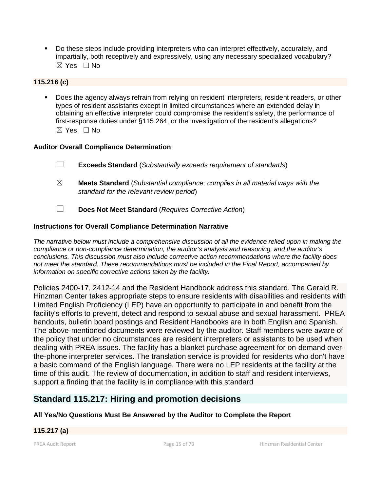Do these steps include providing interpreters who can interpret effectively, accurately, and impartially, both receptively and expressively, using any necessary specialized vocabulary? ☒ Yes ☐ No

## **115.216 (c)**

 Does the agency always refrain from relying on resident interpreters, resident readers, or other types of resident assistants except in limited circumstances where an extended delay in obtaining an effective interpreter could compromise the resident's safety, the performance of first-response duties under §115.264, or the investigation of the resident's allegations?  $\boxtimes$  Yes  $\Box$  No

## **Auditor Overall Compliance Determination**

- ☐ **Exceeds Standard** (*Substantially exceeds requirement of standards*)
- ☒ **Meets Standard** (*Substantial compliance; complies in all material ways with the standard for the relevant review period*)
- ☐ **Does Not Meet Standard** (*Requires Corrective Action*)

## **Instructions for Overall Compliance Determination Narrative**

*The narrative below must include a comprehensive discussion of all the evidence relied upon in making the compliance or non-compliance determination, the auditor's analysis and reasoning, and the auditor's conclusions. This discussion must also include corrective action recommendations where the facility does not meet the standard. These recommendations must be included in the Final Report, accompanied by information on specific corrective actions taken by the facility.*

Policies 2400-17, 2412-14 and the Resident Handbook address this standard. The Gerald R. Hinzman Center takes appropriate steps to ensure residents with disabilities and residents with Limited English Proficiency (LEP) have an opportunity to participate in and benefit from the facility's efforts to prevent, detect and respond to sexual abuse and sexual harassment. PREA handouts, bulletin board postings and Resident Handbooks are in both English and Spanish. The above-mentioned documents were reviewed by the auditor. Staff members were aware of the policy that under no circumstances are resident interpreters or assistants to be used when dealing with PREA issues. The facility has a blanket purchase agreement for on-demand overthe-phone interpreter services. The translation service is provided for residents who don't have a basic command of the English language. There were no LEP residents at the facility at the time of this audit. The review of documentation, in addition to staff and resident interviews, support a finding that the facility is in compliance with this standard

## **Standard 115.217: Hiring and promotion decisions**

## **All Yes/No Questions Must Be Answered by the Auditor to Complete the Report**

## **115.217 (a)**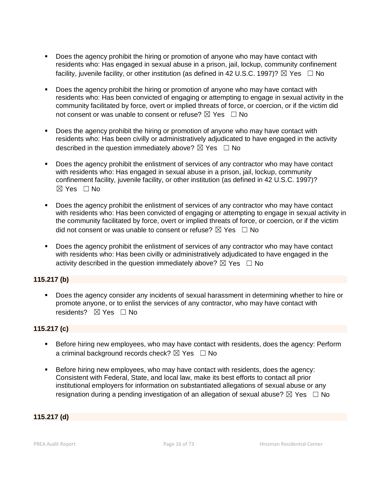- Does the agency prohibit the hiring or promotion of anyone who may have contact with residents who: Has engaged in sexual abuse in a prison, jail, lockup, community confinement facility, iuvenile facility, or other institution (as defined in 42 U.S.C. 1997)?  $\boxtimes$  Yes  $\Box$  No
- Does the agency prohibit the hiring or promotion of anyone who may have contact with residents who: Has been convicted of engaging or attempting to engage in sexual activity in the community facilitated by force, overt or implied threats of force, or coercion, or if the victim did not consent or was unable to consent or refuse?  $\boxtimes$  Yes  $\Box$  No
- Does the agency prohibit the hiring or promotion of anyone who may have contact with residents who: Has been civilly or administratively adjudicated to have engaged in the activity described in the question immediately above?  $\boxtimes$  Yes  $\Box$  No
- Does the agency prohibit the enlistment of services of any contractor who may have contact with residents who: Has engaged in sexual abuse in a prison, jail, lockup, community confinement facility, juvenile facility, or other institution (as defined in 42 U.S.C. 1997)?  $\boxtimes$  Yes  $\Box$  No
- Does the agency prohibit the enlistment of services of any contractor who may have contact with residents who: Has been convicted of engaging or attempting to engage in sexual activity in the community facilitated by force, overt or implied threats of force, or coercion, or if the victim did not consent or was unable to consent or refuse?  $\boxtimes$  Yes  $\Box$  No
- Does the agency prohibit the enlistment of services of any contractor who may have contact with residents who: Has been civilly or administratively adjudicated to have engaged in the activity described in the question immediately above?  $\boxtimes$  Yes  $\Box$  No

## **115.217 (b)**

 Does the agency consider any incidents of sexual harassment in determining whether to hire or promote anyone, or to enlist the services of any contractor, who may have contact with residents? **⊠** Yes □ No

## **115.217 (c)**

- Before hiring new employees, who may have contact with residents, does the agency: Perform a criminal background records check?  $\boxtimes$  Yes  $\Box$  No
- Before hiring new employees, who may have contact with residents, does the agency: Consistent with Federal, State, and local law, make its best efforts to contact all prior institutional employers for information on substantiated allegations of sexual abuse or any resignation during a pending investigation of an allegation of sexual abuse?  $\boxtimes$  Yes  $\Box$  No

## **115.217 (d)**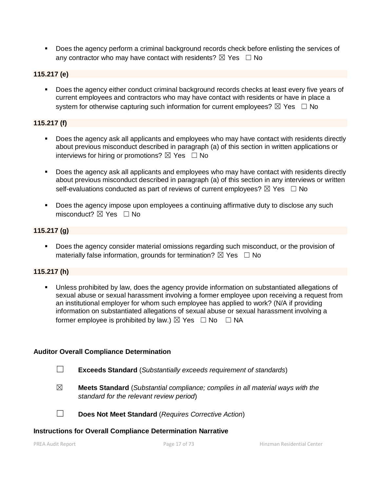Does the agency perform a criminal background records check before enlisting the services of any contractor who may have contact with residents?  $\boxtimes$  Yes  $\Box$  No

## **115.217 (e)**

 Does the agency either conduct criminal background records checks at least every five years of current employees and contractors who may have contact with residents or have in place a system for otherwise capturing such information for current employees?  $\boxtimes$  Yes  $\Box$  No

## **115.217 (f)**

- Does the agency ask all applicants and employees who may have contact with residents directly about previous misconduct described in paragraph (a) of this section in written applications or interviews for hiring or promotions?  $\boxtimes$  Yes  $\Box$  No
- Does the agency ask all applicants and employees who may have contact with residents directly about previous misconduct described in paragraph (a) of this section in any interviews or written self-evaluations conducted as part of reviews of current employees?  $\boxtimes$  Yes  $\Box$  No
- Does the agency impose upon employees a continuing affirmative duty to disclose any such misconduct?  $\boxtimes$  Yes  $\Box$  No

## **115.217 (g)**

 Does the agency consider material omissions regarding such misconduct, or the provision of materially false information, grounds for termination?  $\boxtimes$  Yes  $\Box$  No

## **115.217 (h)**

 Unless prohibited by law, does the agency provide information on substantiated allegations of sexual abuse or sexual harassment involving a former employee upon receiving a request from an institutional employer for whom such employee has applied to work? (N/A if providing information on substantiated allegations of sexual abuse or sexual harassment involving a former employee is prohibited by law.)  $\boxtimes$  Yes  $\Box$  No  $\Box$  NA

## **Auditor Overall Compliance Determination**

- ☐ **Exceeds Standard** (*Substantially exceeds requirement of standards*)
- ☒ **Meets Standard** (*Substantial compliance; complies in all material ways with the standard for the relevant review period*)

☐ **Does Not Meet Standard** (*Requires Corrective Action*)

## **Instructions for Overall Compliance Determination Narrative**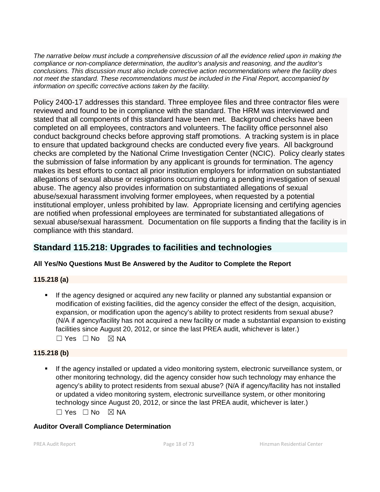*The narrative below must include a comprehensive discussion of all the evidence relied upon in making the compliance or non-compliance determination, the auditor's analysis and reasoning, and the auditor's conclusions. This discussion must also include corrective action recommendations where the facility does not meet the standard. These recommendations must be included in the Final Report, accompanied by information on specific corrective actions taken by the facility.*

Policy 2400-17 addresses this standard. Three employee files and three contractor files were reviewed and found to be in compliance with the standard. The HRM was interviewed and stated that all components of this standard have been met. Background checks have been completed on all employees, contractors and volunteers. The facility office personnel also conduct background checks before approving staff promotions. A tracking system is in place to ensure that updated background checks are conducted every five years. All background checks are completed by the National Crime Investigation Center (NCIC). Policy clearly states the submission of false information by any applicant is grounds for termination. The agency makes its best efforts to contact all prior institution employers for information on substantiated allegations of sexual abuse or resignations occurring during a pending investigation of sexual abuse. The agency also provides information on substantiated allegations of sexual abuse/sexual harassment involving former employees, when requested by a potential institutional employer, unless prohibited by law. Appropriate licensing and certifying agencies are notified when professional employees are terminated for substantiated allegations of sexual abuse/sexual harassment. Documentation on file supports a finding that the facility is in compliance with this standard.

## **Standard 115.218: Upgrades to facilities and technologies**

## **All Yes/No Questions Must Be Answered by the Auditor to Complete the Report**

## **115.218 (a)**

 If the agency designed or acquired any new facility or planned any substantial expansion or modification of existing facilities, did the agency consider the effect of the design, acquisition, expansion, or modification upon the agency's ability to protect residents from sexual abuse? (N/A if agency/facility has not acquired a new facility or made a substantial expansion to existing facilities since August 20, 2012, or since the last PREA audit, whichever is later.)  $\Box$  Yes  $\Box$  No  $\boxtimes$  NA

## **115.218 (b)**

 If the agency installed or updated a video monitoring system, electronic surveillance system, or other monitoring technology, did the agency consider how such technology may enhance the agency's ability to protect residents from sexual abuse? (N/A if agency/facility has not installed or updated a video monitoring system, electronic surveillance system, or other monitoring technology since August 20, 2012, or since the last PREA audit, whichever is later.)  $\Box$  Yes  $\Box$  No  $\boxtimes$  NA

## **Auditor Overall Compliance Determination**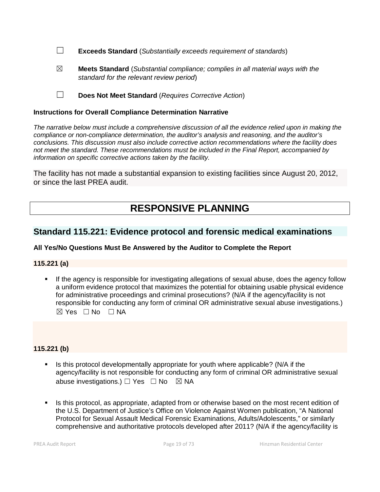☐ **Exceeds Standard** (*Substantially exceeds requirement of standards*)

☒ **Meets Standard** (*Substantial compliance; complies in all material ways with the standard for the relevant review period*)

☐ **Does Not Meet Standard** (*Requires Corrective Action*)

#### **Instructions for Overall Compliance Determination Narrative**

*The narrative below must include a comprehensive discussion of all the evidence relied upon in making the compliance or non-compliance determination, the auditor's analysis and reasoning, and the auditor's conclusions. This discussion must also include corrective action recommendations where the facility does not meet the standard. These recommendations must be included in the Final Report, accompanied by information on specific corrective actions taken by the facility.*

The facility has not made a substantial expansion to existing facilities since August 20, 2012, or since the last PREA audit.

# **RESPONSIVE PLANNING**

## **Standard 115.221: Evidence protocol and forensic medical examinations**

## **All Yes/No Questions Must Be Answered by the Auditor to Complete the Report**

#### **115.221 (a)**

 If the agency is responsible for investigating allegations of sexual abuse, does the agency follow a uniform evidence protocol that maximizes the potential for obtaining usable physical evidence for administrative proceedings and criminal prosecutions? (N/A if the agency/facility is not responsible for conducting any form of criminal OR administrative sexual abuse investigations.)  $\boxtimes$  Yes  $\Box$  No  $\Box$  NA

## **115.221 (b)**

- Is this protocol developmentally appropriate for youth where applicable? (N/A if the agency/facility is not responsible for conducting any form of criminal OR administrative sexual abuse investigations.)  $\Box$  Yes  $\Box$  No  $\boxtimes$  NA
- Is this protocol, as appropriate, adapted from or otherwise based on the most recent edition of the U.S. Department of Justice's Office on Violence Against Women publication, "A National Protocol for Sexual Assault Medical Forensic Examinations, Adults/Adolescents," or similarly comprehensive and authoritative protocols developed after 2011? (N/A if the agency/facility is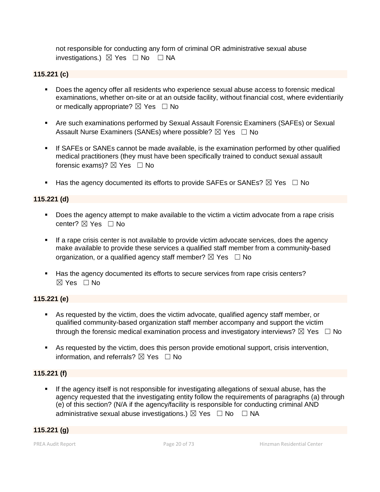not responsible for conducting any form of criminal OR administrative sexual abuse investigations.) ☒ Yes ☐ No ☐ NA

## **115.221 (c)**

- Does the agency offer all residents who experience sexual abuse access to forensic medical examinations, whether on-site or at an outside facility, without financial cost, where evidentiarily or medically appropriate?  $\boxtimes$  Yes  $\Box$  No
- Are such examinations performed by Sexual Assault Forensic Examiners (SAFEs) or Sexual Assault Nurse Examiners (SANEs) where possible?  $\boxtimes$  Yes  $\Box$  No
- If SAFEs or SANEs cannot be made available, is the examination performed by other qualified medical practitioners (they must have been specifically trained to conduct sexual assault forensic exams)?  $\boxtimes$  Yes  $\Box$  No
- Has the agency documented its efforts to provide SAFEs or SANEs?  $\boxtimes$  Yes  $\Box$  No

#### **115.221 (d)**

- Does the agency attempt to make available to the victim a victim advocate from a rape crisis center? ⊠ Yes □ No
- If a rape crisis center is not available to provide victim advocate services, does the agency make available to provide these services a qualified staff member from a community-based organization, or a qualified agency staff member?  $\boxtimes$  Yes  $\Box$  No
- Has the agency documented its efforts to secure services from rape crisis centers?  $\boxtimes$  Yes  $\Box$  No

## **115.221 (e)**

- As requested by the victim, does the victim advocate, qualified agency staff member, or qualified community-based organization staff member accompany and support the victim through the forensic medical examination process and investigatory interviews?  $\boxtimes$  Yes  $\Box$  No
- As requested by the victim, does this person provide emotional support, crisis intervention, information, and referrals?  $\boxtimes$  Yes  $\Box$  No

#### **115.221 (f)**

 If the agency itself is not responsible for investigating allegations of sexual abuse, has the agency requested that the investigating entity follow the requirements of paragraphs (a) through (e) of this section? (N/A if the agency/facility is responsible for conducting criminal AND administrative sexual abuse investigations.)  $\boxtimes$  Yes  $\Box$  No  $\Box$  NA

#### **115.221 (g)**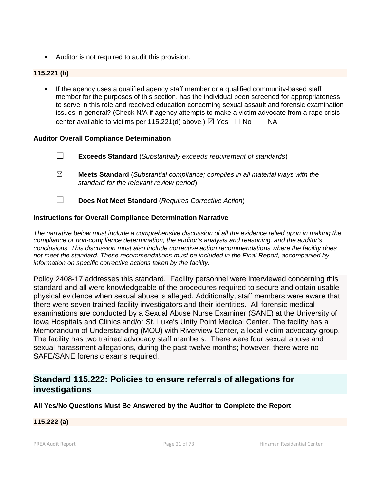Auditor is not required to audit this provision.

## **115.221 (h)**

**If the agency uses a qualified agency staff member or a qualified community-based staff** member for the purposes of this section, has the individual been screened for appropriateness to serve in this role and received education concerning sexual assault and forensic examination issues in general? (Check N/A if agency attempts to make a victim advocate from a rape crisis center available to victims per 115.221(d) above.)  $\boxtimes$  Yes  $\Box$  No  $\Box$  NA

#### **Auditor Overall Compliance Determination**

- ☐ **Exceeds Standard** (*Substantially exceeds requirement of standards*)
- ☒ **Meets Standard** (*Substantial compliance; complies in all material ways with the standard for the relevant review period*)
- ☐ **Does Not Meet Standard** (*Requires Corrective Action*)

## **Instructions for Overall Compliance Determination Narrative**

*The narrative below must include a comprehensive discussion of all the evidence relied upon in making the compliance or non-compliance determination, the auditor's analysis and reasoning, and the auditor's conclusions. This discussion must also include corrective action recommendations where the facility does not meet the standard. These recommendations must be included in the Final Report, accompanied by information on specific corrective actions taken by the facility.*

Policy 2408-17 addresses this standard. Facility personnel were interviewed concerning this standard and all were knowledgeable of the procedures required to secure and obtain usable physical evidence when sexual abuse is alleged. Additionally, staff members were aware that there were seven trained facility investigators and their identities. All forensic medical examinations are conducted by a Sexual Abuse Nurse Examiner (SANE) at the University of Iowa Hospitals and Clinics and/or St. Luke's Unity Point Medical Center. The facility has a Memorandum of Understanding (MOU) with Riverview Center, a local victim advocacy group. The facility has two trained advocacy staff members. There were four sexual abuse and sexual harassment allegations, during the past twelve months; however, there were no SAFE/SANE forensic exams required.

## **Standard 115.222: Policies to ensure referrals of allegations for investigations**

#### **All Yes/No Questions Must Be Answered by the Auditor to Complete the Report**

## **115.222 (a)**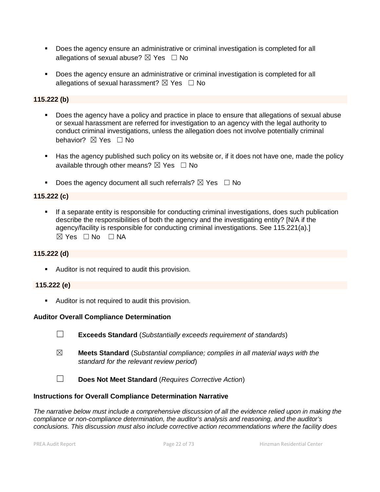- Does the agency ensure an administrative or criminal investigation is completed for all allegations of sexual abuse?  $\boxtimes$  Yes  $\Box$  No
- **Does the agency ensure an administrative or criminal investigation is completed for all** allegations of sexual harassment?  $\boxtimes$  Yes  $\Box$  No

## **115.222 (b)**

- **Does the agency have a policy and practice in place to ensure that allegations of sexual abuse** or sexual harassment are referred for investigation to an agency with the legal authority to conduct criminal investigations, unless the allegation does not involve potentially criminal behavior? **⊠** Yes □ No
- Has the agency published such policy on its website or, if it does not have one, made the policy available through other means?  $\boxtimes$  Yes  $\Box$  No
- Does the agency document all such referrals?  $\boxtimes$  Yes  $\Box$  No

## **115.222 (c)**

 If a separate entity is responsible for conducting criminal investigations, does such publication describe the responsibilities of both the agency and the investigating entity? [N/A if the agency/facility is responsible for conducting criminal investigations. See 115.221(a).]  $\boxtimes$  Yes  $\Box$  No  $\Box$  NA

#### **115.222 (d)**

**Auditor is not required to audit this provision.** 

#### **115.222 (e)**

Auditor is not required to audit this provision.

#### **Auditor Overall Compliance Determination**

- ☐ **Exceeds Standard** (*Substantially exceeds requirement of standards*)
- ☒ **Meets Standard** (*Substantial compliance; complies in all material ways with the standard for the relevant review period*)
- ☐ **Does Not Meet Standard** (*Requires Corrective Action*)

#### **Instructions for Overall Compliance Determination Narrative**

*The narrative below must include a comprehensive discussion of all the evidence relied upon in making the compliance or non-compliance determination, the auditor's analysis and reasoning, and the auditor's conclusions. This discussion must also include corrective action recommendations where the facility does*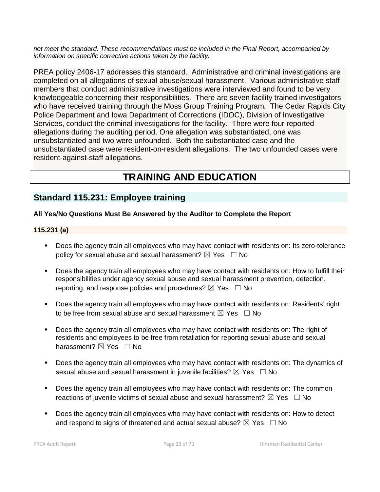*not meet the standard. These recommendations must be included in the Final Report, accompanied by information on specific corrective actions taken by the facility.*

PREA policy 2406-17 addresses this standard. Administrative and criminal investigations are completed on all allegations of sexual abuse/sexual harassment. Various administrative staff members that conduct administrative investigations were interviewed and found to be very knowledgeable concerning their responsibilities. There are seven facility trained investigators who have received training through the Moss Group Training Program. The Cedar Rapids City Police Department and Iowa Department of Corrections (IDOC), Division of Investigative Services, conduct the criminal investigations for the facility. There were four reported allegations during the auditing period. One allegation was substantiated, one was unsubstantiated and two were unfounded. Both the substantiated case and the unsubstantiated case were resident-on-resident allegations. The two unfounded cases were resident-against-staff allegations.

# **TRAINING AND EDUCATION**

## **Standard 115.231: Employee training**

## **All Yes/No Questions Must Be Answered by the Auditor to Complete the Report**

## **115.231 (a)**

- Does the agency train all employees who may have contact with residents on: Its zero-tolerance policy for sexual abuse and sexual harassment?  $\boxtimes$  Yes  $\Box$  No
- Does the agency train all employees who may have contact with residents on: How to fulfill their responsibilities under agency sexual abuse and sexual harassment prevention, detection, reporting, and response policies and procedures?  $\boxtimes$  Yes  $\Box$  No
- Does the agency train all employees who may have contact with residents on: Residents' right to be free from sexual abuse and sexual harassment  $\boxtimes$  Yes  $\Box$  No
- Does the agency train all employees who may have contact with residents on: The right of residents and employees to be free from retaliation for reporting sexual abuse and sexual harassment?  $\boxtimes$  Yes  $\Box$  No
- Does the agency train all employees who may have contact with residents on: The dynamics of sexual abuse and sexual harassment in juvenile facilities?  $\boxtimes$  Yes  $\Box$  No
- **Does the agency train all employees who may have contact with residents on: The common** reactions of juvenile victims of sexual abuse and sexual harassment?  $\boxtimes$  Yes  $\Box$  No
- Does the agency train all employees who may have contact with residents on: How to detect and respond to signs of threatened and actual sexual abuse?  $\boxtimes$  Yes  $\Box$  No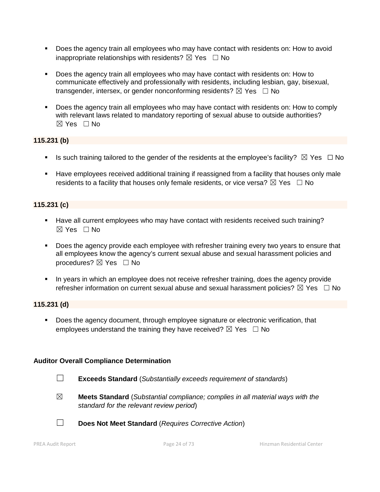- Does the agency train all employees who may have contact with residents on: How to avoid inappropriate relationships with residents?  $\boxtimes$  Yes  $\Box$  No
- Does the agency train all employees who may have contact with residents on: How to communicate effectively and professionally with residents, including lesbian, gay, bisexual, transgender, intersex, or gender nonconforming residents?  $\boxtimes$  Yes  $\Box$  No
- Does the agency train all employees who may have contact with residents on: How to comply with relevant laws related to mandatory reporting of sexual abuse to outside authorities?  $\boxtimes$  Yes  $\Box$  No

## **115.231 (b)**

- Is such training tailored to the gender of the residents at the employee's facility?  $\boxtimes$  Yes  $\Box$  No
- **Have employees received additional training if reassigned from a facility that houses only male** residents to a facility that houses only female residents, or vice versa?  $\boxtimes$  Yes  $\Box$  No

## **115.231 (c)**

- Have all current employees who may have contact with residents received such training? ☒ Yes ☐ No
- **Does the agency provide each employee with refresher training every two years to ensure that** all employees know the agency's current sexual abuse and sexual harassment policies and procedures? ⊠ Yes □ No
- In years in which an employee does not receive refresher training, does the agency provide refresher information on current sexual abuse and sexual harassment policies?  $\boxtimes$  Yes  $\Box$  No

## **115.231 (d)**

Does the agency document, through employee signature or electronic verification, that employees understand the training they have received?  $\boxtimes$  Yes  $\Box$  No

## **Auditor Overall Compliance Determination**

- ☐ **Exceeds Standard** (*Substantially exceeds requirement of standards*)
- ☒ **Meets Standard** (*Substantial compliance; complies in all material ways with the standard for the relevant review period*)
- ☐ **Does Not Meet Standard** (*Requires Corrective Action*)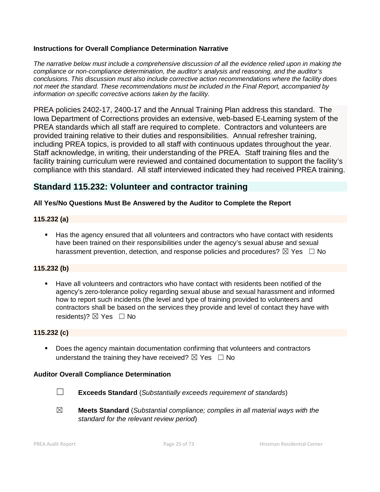## **Instructions for Overall Compliance Determination Narrative**

*The narrative below must include a comprehensive discussion of all the evidence relied upon in making the compliance or non-compliance determination, the auditor's analysis and reasoning, and the auditor's conclusions. This discussion must also include corrective action recommendations where the facility does not meet the standard. These recommendations must be included in the Final Report, accompanied by information on specific corrective actions taken by the facility.*

PREA policies 2402-17, 2400-17 and the Annual Training Plan address this standard. The Iowa Department of Corrections provides an extensive, web-based E-Learning system of the PREA standards which all staff are required to complete. Contractors and volunteers are provided training relative to their duties and responsibilities. Annual refresher training, including PREA topics, is provided to all staff with continuous updates throughout the year. Staff acknowledge, in writing, their understanding of the PREA. Staff training files and the facility training curriculum were reviewed and contained documentation to support the facility's compliance with this standard. All staff interviewed indicated they had received PREA training.

## **Standard 115.232: Volunteer and contractor training**

## **All Yes/No Questions Must Be Answered by the Auditor to Complete the Report**

## **115.232 (a)**

 Has the agency ensured that all volunteers and contractors who have contact with residents have been trained on their responsibilities under the agency's sexual abuse and sexual harassment prevention, detection, and response policies and procedures?  $\boxtimes$  Yes  $\Box$  No

## **115.232 (b)**

 Have all volunteers and contractors who have contact with residents been notified of the agency's zero-tolerance policy regarding sexual abuse and sexual harassment and informed how to report such incidents (the level and type of training provided to volunteers and contractors shall be based on the services they provide and level of contact they have with residents)? ⊠ Yes □ No

## **115.232 (c)**

Does the agency maintain documentation confirming that volunteers and contractors understand the training they have received?  $\boxtimes$  Yes  $\Box$  No

## **Auditor Overall Compliance Determination**

- ☐ **Exceeds Standard** (*Substantially exceeds requirement of standards*)
- ☒ **Meets Standard** (*Substantial compliance; complies in all material ways with the standard for the relevant review period*)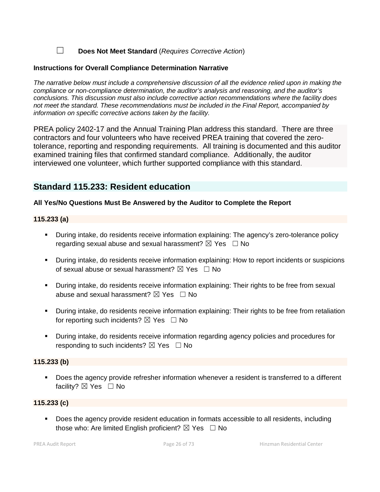☐ **Does Not Meet Standard** (*Requires Corrective Action*)

#### **Instructions for Overall Compliance Determination Narrative**

*The narrative below must include a comprehensive discussion of all the evidence relied upon in making the compliance or non-compliance determination, the auditor's analysis and reasoning, and the auditor's conclusions. This discussion must also include corrective action recommendations where the facility does not meet the standard. These recommendations must be included in the Final Report, accompanied by information on specific corrective actions taken by the facility.*

PREA policy 2402-17 and the Annual Training Plan address this standard. There are three contractors and four volunteers who have received PREA training that covered the zerotolerance, reporting and responding requirements. All training is documented and this auditor examined training files that confirmed standard compliance. Additionally, the auditor interviewed one volunteer, which further supported compliance with this standard.

## **Standard 115.233: Resident education**

## **All Yes/No Questions Must Be Answered by the Auditor to Complete the Report**

## **115.233 (a)**

- During intake, do residents receive information explaining: The agency's zero-tolerance policy regarding sexual abuse and sexual harassment?  $\boxtimes$  Yes  $\Box$  No
- During intake, do residents receive information explaining: How to report incidents or suspicions of sexual abuse or sexual harassment?  $\boxtimes$  Yes  $\Box$  No
- During intake, do residents receive information explaining: Their rights to be free from sexual abuse and sexual harassment?  $\boxtimes$  Yes  $\Box$  No
- During intake, do residents receive information explaining: Their rights to be free from retaliation for reporting such incidents?  $\boxtimes$  Yes  $\Box$  No
- During intake, do residents receive information regarding agency policies and procedures for responding to such incidents?  $\boxtimes$  Yes  $\Box$  No

#### **115.233 (b)**

 Does the agency provide refresher information whenever a resident is transferred to a different facility?  $\boxtimes$  Yes  $\Box$  No

## **115.233 (c)**

 Does the agency provide resident education in formats accessible to all residents, including those who: Are limited English proficient?  $\boxtimes$  Yes  $\Box$  No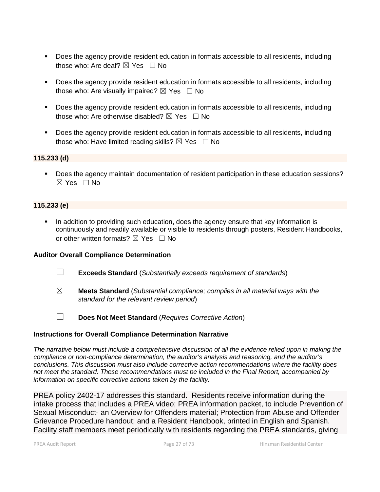- Does the agency provide resident education in formats accessible to all residents, including those who: Are deaf?  $\boxtimes$  Yes  $\Box$  No
- **Does the agency provide resident education in formats accessible to all residents, including** those who: Are visually impaired?  $\boxtimes$  Yes  $\Box$  No
- Does the agency provide resident education in formats accessible to all residents, including those who: Are otherwise disabled?  $\boxtimes$  Yes  $\Box$  No
- **Does the agency provide resident education in formats accessible to all residents, including** those who: Have limited reading skills?  $\boxtimes$  Yes  $\Box$  No

## **115.233 (d)**

 Does the agency maintain documentation of resident participation in these education sessions?  $\boxtimes$  Yes  $\Box$  No

## **115.233 (e)**

In addition to providing such education, does the agency ensure that key information is continuously and readily available or visible to residents through posters, Resident Handbooks, or other written formats?  $\boxtimes$  Yes  $\Box$  No

## **Auditor Overall Compliance Determination**

- ☐ **Exceeds Standard** (*Substantially exceeds requirement of standards*)
- ☒ **Meets Standard** (*Substantial compliance; complies in all material ways with the standard for the relevant review period*)

☐ **Does Not Meet Standard** (*Requires Corrective Action*)

## **Instructions for Overall Compliance Determination Narrative**

*The narrative below must include a comprehensive discussion of all the evidence relied upon in making the compliance or non-compliance determination, the auditor's analysis and reasoning, and the auditor's conclusions. This discussion must also include corrective action recommendations where the facility does not meet the standard. These recommendations must be included in the Final Report, accompanied by information on specific corrective actions taken by the facility.*

PREA policy 2402-17 addresses this standard. Residents receive information during the intake process that includes a PREA video; PREA information packet, to include Prevention of Sexual Misconduct- an Overview for Offenders material; Protection from Abuse and Offender Grievance Procedure handout; and a Resident Handbook, printed in English and Spanish. Facility staff members meet periodically with residents regarding the PREA standards, giving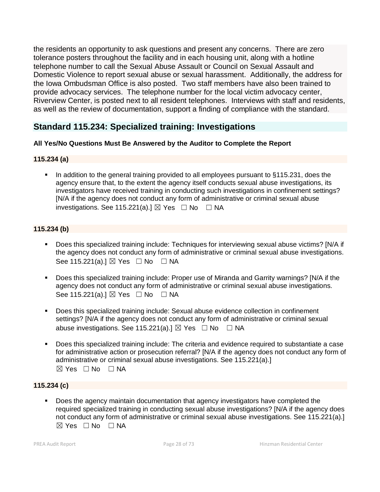the residents an opportunity to ask questions and present any concerns. There are zero tolerance posters throughout the facility and in each housing unit, along with a hotline telephone number to call the Sexual Abuse Assault or Council on Sexual Assault and Domestic Violence to report sexual abuse or sexual harassment. Additionally, the address for the Iowa Ombudsman Office is also posted. Two staff members have also been trained to provide advocacy services. The telephone number for the local victim advocacy center, Riverview Center, is posted next to all resident telephones. Interviews with staff and residents, as well as the review of documentation, support a finding of compliance with the standard.

## **Standard 115.234: Specialized training: Investigations**

## **All Yes/No Questions Must Be Answered by the Auditor to Complete the Report**

## **115.234 (a)**

 In addition to the general training provided to all employees pursuant to §115.231, does the agency ensure that, to the extent the agency itself conducts sexual abuse investigations, its investigators have received training in conducting such investigations in confinement settings? [N/A if the agency does not conduct any form of administrative or criminal sexual abuse investigations. See 115.221(a).]  $\boxtimes$  Yes  $\Box$  No  $\Box$  NA

## **115.234 (b)**

- Does this specialized training include: Techniques for interviewing sexual abuse victims? [N/A if the agency does not conduct any form of administrative or criminal sexual abuse investigations. See 115.221(a).] ⊠ Yes □ No □ NA
- Does this specialized training include: Proper use of Miranda and Garrity warnings? [N/A if the agency does not conduct any form of administrative or criminal sexual abuse investigations. See 115.221(a).] ⊠ Yes □ No □ NA
- Does this specialized training include: Sexual abuse evidence collection in confinement settings? [N/A if the agency does not conduct any form of administrative or criminal sexual abuse investigations. See 115.221(a).]  $\boxtimes$  Yes  $\Box$  No  $\Box$  NA
- Does this specialized training include: The criteria and evidence required to substantiate a case for administrative action or prosecution referral? [N/A if the agency does not conduct any form of administrative or criminal sexual abuse investigations. See 115.221(a).]  $\boxtimes$  Yes  $\square$  No  $\square$  NA

## **115.234 (c)**

 Does the agency maintain documentation that agency investigators have completed the required specialized training in conducting sexual abuse investigations? [N/A if the agency does not conduct any form of administrative or criminal sexual abuse investigations. See 115.221(a).]  $\boxtimes$  Yes  $\Box$  No  $\Box$  NA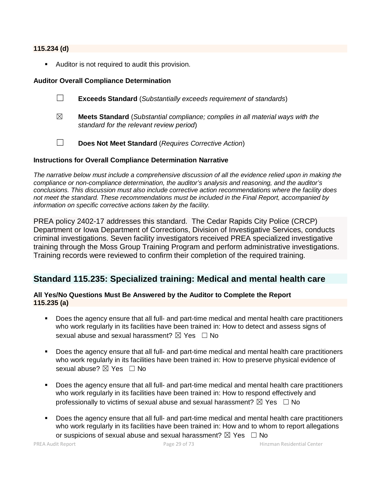#### **115.234 (d)**

**Auditor is not required to audit this provision.** 

#### **Auditor Overall Compliance Determination**

- ☐ **Exceeds Standard** (*Substantially exceeds requirement of standards*)
- ☒ **Meets Standard** (*Substantial compliance; complies in all material ways with the standard for the relevant review period*)
- ☐ **Does Not Meet Standard** (*Requires Corrective Action*)

#### **Instructions for Overall Compliance Determination Narrative**

*The narrative below must include a comprehensive discussion of all the evidence relied upon in making the compliance or non-compliance determination, the auditor's analysis and reasoning, and the auditor's conclusions. This discussion must also include corrective action recommendations where the facility does not meet the standard. These recommendations must be included in the Final Report, accompanied by information on specific corrective actions taken by the facility.*

PREA policy 2402-17 addresses this standard. The Cedar Rapids City Police (CRCP) Department or Iowa Department of Corrections, Division of Investigative Services, conducts criminal investigations. Seven facility investigators received PREA specialized investigative training through the Moss Group Training Program and perform administrative investigations. Training records were reviewed to confirm their completion of the required training.

## **Standard 115.235: Specialized training: Medical and mental health care**

## **All Yes/No Questions Must Be Answered by the Auditor to Complete the Report 115.235 (a)**

- Does the agency ensure that all full- and part-time medical and mental health care practitioners who work regularly in its facilities have been trained in: How to detect and assess signs of sexual abuse and sexual harassment?  $\boxtimes$  Yes  $\Box$  No
- Does the agency ensure that all full- and part-time medical and mental health care practitioners who work regularly in its facilities have been trained in: How to preserve physical evidence of sexual abuse? ⊠ Yes □ No
- Does the agency ensure that all full- and part-time medical and mental health care practitioners who work regularly in its facilities have been trained in: How to respond effectively and professionally to victims of sexual abuse and sexual harassment?  $\boxtimes$  Yes  $\Box$  No
- Does the agency ensure that all full- and part-time medical and mental health care practitioners who work regularly in its facilities have been trained in: How and to whom to report allegations or suspicions of sexual abuse and sexual harassment?  $\boxtimes$  Yes  $\Box$  No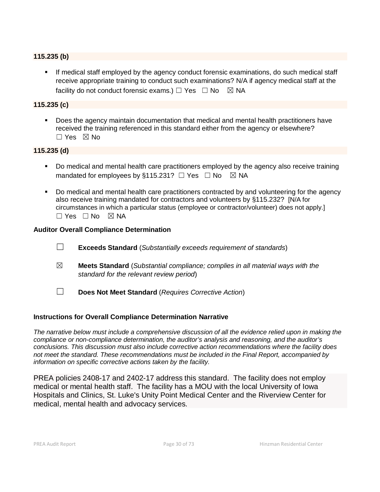## **115.235 (b)**

 If medical staff employed by the agency conduct forensic examinations, do such medical staff receive appropriate training to conduct such examinations? N/A if agency medical staff at the facility do not conduct forensic exams.)  $\Box$  Yes  $\Box$  No  $\boxtimes$  NA

## **115.235 (c)**

 Does the agency maintain documentation that medical and mental health practitioners have received the training referenced in this standard either from the agency or elsewhere? ☐ Yes ☒ No

#### **115.235 (d)**

- Do medical and mental health care practitioners employed by the agency also receive training mandated for employees by §115.231?  $\Box$  Yes  $\Box$  No  $\boxtimes$  NA
- Do medical and mental health care practitioners contracted by and volunteering for the agency also receive training mandated for contractors and volunteers by §115.232? [N/A for circumstances in which a particular status (employee or contractor/volunteer) does not apply.] ☐ Yes ☐ No ☒ NA

#### **Auditor Overall Compliance Determination**

- ☐ **Exceeds Standard** (*Substantially exceeds requirement of standards*)
- ☒ **Meets Standard** (*Substantial compliance; complies in all material ways with the standard for the relevant review period*)
- ☐ **Does Not Meet Standard** (*Requires Corrective Action*)

## **Instructions for Overall Compliance Determination Narrative**

*The narrative below must include a comprehensive discussion of all the evidence relied upon in making the compliance or non-compliance determination, the auditor's analysis and reasoning, and the auditor's conclusions. This discussion must also include corrective action recommendations where the facility does not meet the standard. These recommendations must be included in the Final Report, accompanied by information on specific corrective actions taken by the facility.*

PREA policies 2408-17 and 2402-17 address this standard. The facility does not employ medical or mental health staff. The facility has a MOU with the local University of Iowa Hospitals and Clinics, St. Luke's Unity Point Medical Center and the Riverview Center for medical, mental health and advocacy services.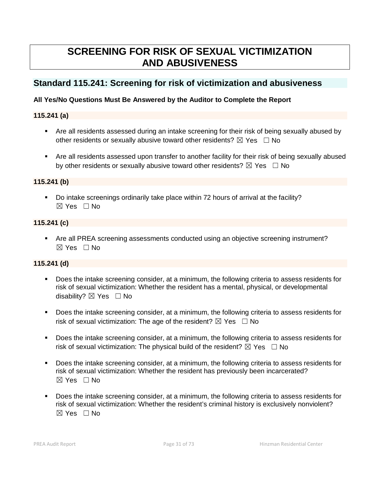# **SCREENING FOR RISK OF SEXUAL VICTIMIZATION AND ABUSIVENESS**

## **Standard 115.241: Screening for risk of victimization and abusiveness**

## **All Yes/No Questions Must Be Answered by the Auditor to Complete the Report**

## **115.241 (a)**

- Are all residents assessed during an intake screening for their risk of being sexually abused by other residents or sexually abusive toward other residents?  $\boxtimes$  Yes  $\Box$  No
- Are all residents assessed upon transfer to another facility for their risk of being sexually abused by other residents or sexually abusive toward other residents?  $\boxtimes$  Yes  $\Box$  No

## **115.241 (b)**

 Do intake screenings ordinarily take place within 72 hours of arrival at the facility?  $\boxtimes$  Yes  $\Box$  No

## **115.241 (c)**

 Are all PREA screening assessments conducted using an objective screening instrument?  $\boxtimes$  Yes  $\Box$  No

## **115.241 (d)**

- Does the intake screening consider, at a minimum, the following criteria to assess residents for risk of sexual victimization: Whether the resident has a mental, physical, or developmental disability?  $\boxtimes$  Yes  $\Box$  No
- Does the intake screening consider, at a minimum, the following criteria to assess residents for risk of sexual victimization: The age of the resident?  $\boxtimes$  Yes  $\Box$  No
- Does the intake screening consider, at a minimum, the following criteria to assess residents for risk of sexual victimization: The physical build of the resident?  $\boxtimes$  Yes  $\Box$  No
- Does the intake screening consider, at a minimum, the following criteria to assess residents for risk of sexual victimization: Whether the resident has previously been incarcerated? ☒ Yes ☐ No
- Does the intake screening consider, at a minimum, the following criteria to assess residents for risk of sexual victimization: Whether the resident's criminal history is exclusively nonviolent?  $\boxtimes$  Yes  $\Box$  No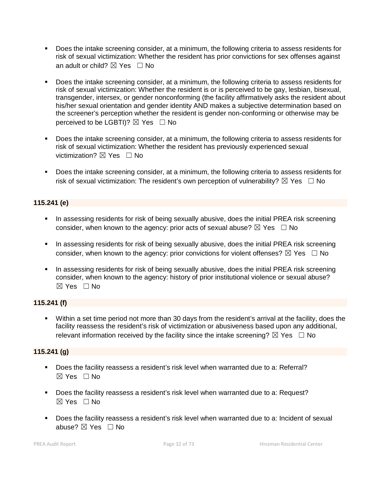- Does the intake screening consider, at a minimum, the following criteria to assess residents for risk of sexual victimization: Whether the resident has prior convictions for sex offenses against an adult or child?  $\boxtimes$  Yes  $\Box$  No
- Does the intake screening consider, at a minimum, the following criteria to assess residents for risk of sexual victimization: Whether the resident is or is perceived to be gay, lesbian, bisexual, transgender, intersex, or gender nonconforming (the facility affirmatively asks the resident about his/her sexual orientation and gender identity AND makes a subjective determination based on the screener's perception whether the resident is gender non-conforming or otherwise may be perceived to be LGBTI)?  $\boxtimes$  Yes  $\Box$  No
- Does the intake screening consider, at a minimum, the following criteria to assess residents for risk of sexual victimization: Whether the resident has previously experienced sexual victimization?  $\boxtimes$  Yes  $\Box$  No
- Does the intake screening consider, at a minimum, the following criteria to assess residents for risk of sexual victimization: The resident's own perception of vulnerability?  $\boxtimes$  Yes  $\Box$  No

## **115.241 (e)**

- **IF In assessing residents for risk of being sexually abusive, does the initial PREA risk screening** consider, when known to the agency: prior acts of sexual abuse?  $\boxtimes$  Yes  $\Box$  No
- In assessing residents for risk of being sexually abusive, does the initial PREA risk screening consider, when known to the agency: prior convictions for violent offenses?  $\boxtimes$  Yes  $\Box$  No
- In assessing residents for risk of being sexually abusive, does the initial PREA risk screening consider, when known to the agency: history of prior institutional violence or sexual abuse?  $\boxtimes$  Yes  $\Box$  No

## **115.241 (f)**

 Within a set time period not more than 30 days from the resident's arrival at the facility, does the facility reassess the resident's risk of victimization or abusiveness based upon any additional, relevant information received by the facility since the intake screening?  $\boxtimes$  Yes  $\Box$  No

## **115.241 (g)**

- Does the facility reassess a resident's risk level when warranted due to a: Referral?  $\boxtimes$  Yes  $\Box$  No
- **Does the facility reassess a resident's risk level when warranted due to a: Request?**  $\boxtimes$  Yes  $\Box$  No
- Does the facility reassess a resident's risk level when warranted due to a: Incident of sexual abuse?  $\boxtimes$  Yes  $\Box$  No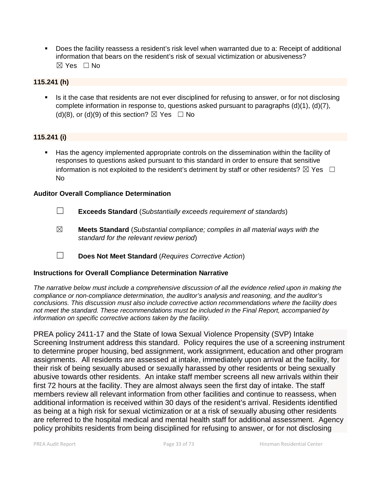Does the facility reassess a resident's risk level when warranted due to a: Receipt of additional information that bears on the resident's risk of sexual victimization or abusiveness? ☒ Yes ☐ No

## **115.241 (h)**

 Is it the case that residents are not ever disciplined for refusing to answer, or for not disclosing complete information in response to, questions asked pursuant to paragraphs (d)(1), (d)(7), (d)(8), or (d)(9) of this section?  $\boxtimes$  Yes  $\Box$  No

## **115.241 (i)**

 Has the agency implemented appropriate controls on the dissemination within the facility of responses to questions asked pursuant to this standard in order to ensure that sensitive information is not exploited to the resident's detriment by staff or other residents?  $\boxtimes$  Yes  $\Box$ No

## **Auditor Overall Compliance Determination**

- ☐ **Exceeds Standard** (*Substantially exceeds requirement of standards*)
- ☒ **Meets Standard** (*Substantial compliance; complies in all material ways with the standard for the relevant review period*)
- ☐ **Does Not Meet Standard** (*Requires Corrective Action*)

## **Instructions for Overall Compliance Determination Narrative**

*The narrative below must include a comprehensive discussion of all the evidence relied upon in making the compliance or non-compliance determination, the auditor's analysis and reasoning, and the auditor's conclusions. This discussion must also include corrective action recommendations where the facility does not meet the standard. These recommendations must be included in the Final Report, accompanied by information on specific corrective actions taken by the facility.*

PREA policy 2411-17 and the State of Iowa Sexual Violence Propensity (SVP) Intake Screening Instrument address this standard. Policy requires the use of a screening instrument to determine proper housing, bed assignment, work assignment, education and other program assignments. All residents are assessed at intake, immediately upon arrival at the facility, for their risk of being sexually abused or sexually harassed by other residents or being sexually abusive towards other residents. An intake staff member screens all new arrivals within their first 72 hours at the facility. They are almost always seen the first day of intake. The staff members review all relevant information from other facilities and continue to reassess, when additional information is received within 30 days of the resident's arrival. Residents identified as being at a high risk for sexual victimization or at a risk of sexually abusing other residents are referred to the hospital medical and mental health staff for additional assessment. Agency policy prohibits residents from being disciplined for refusing to answer, or for not disclosing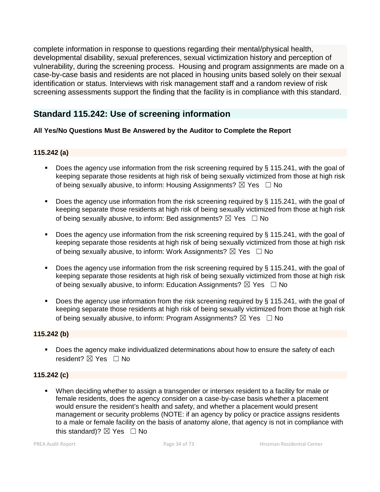complete information in response to questions regarding their mental/physical health, developmental disability, sexual preferences, sexual victimization history and perception of vulnerability, during the screening process. Housing and program assignments are made on a case-by-case basis and residents are not placed in housing units based solely on their sexual identification or status. Interviews with risk management staff and a random review of risk screening assessments support the finding that the facility is in compliance with this standard.

## **Standard 115.242: Use of screening information**

## **All Yes/No Questions Must Be Answered by the Auditor to Complete the Report**

## **115.242 (a)**

- Does the agency use information from the risk screening required by § 115.241, with the goal of keeping separate those residents at high risk of being sexually victimized from those at high risk of being sexually abusive, to inform: Housing Assignments?  $\boxtimes$  Yes  $\Box$  No
- Does the agency use information from the risk screening required by § 115.241, with the goal of keeping separate those residents at high risk of being sexually victimized from those at high risk of being sexually abusive, to inform: Bed assignments?  $\boxtimes$  Yes  $\Box$  No
- Does the agency use information from the risk screening required by § 115.241, with the goal of keeping separate those residents at high risk of being sexually victimized from those at high risk of being sexually abusive, to inform: Work Assignments?  $\boxtimes$  Yes  $\Box$  No
- Does the agency use information from the risk screening required by § 115.241, with the goal of keeping separate those residents at high risk of being sexually victimized from those at high risk of being sexually abusive, to inform: Education Assignments?  $\boxtimes$  Yes  $\Box$  No
- Does the agency use information from the risk screening required by § 115.241, with the goal of keeping separate those residents at high risk of being sexually victimized from those at high risk of being sexually abusive, to inform: Program Assignments?  $\boxtimes$  Yes  $\Box$  No

## **115.242 (b)**

**Does the agency make individualized determinations about how to ensure the safety of each** resident? **⊠** Yes □ No

## **115.242 (c)**

 When deciding whether to assign a transgender or intersex resident to a facility for male or female residents, does the agency consider on a case-by-case basis whether a placement would ensure the resident's health and safety, and whether a placement would present management or security problems (NOTE: if an agency by policy or practice assigns residents to a male or female facility on the basis of anatomy alone, that agency is not in compliance with this standard)?  $\boxtimes$  Yes  $\Box$  No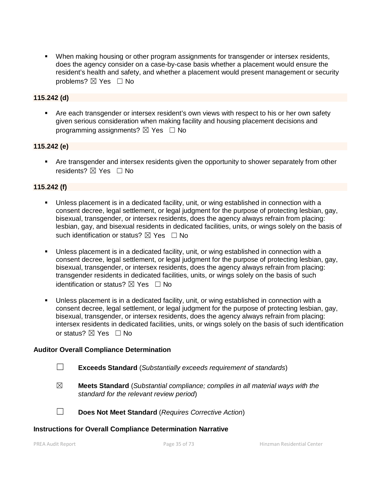When making housing or other program assignments for transgender or intersex residents, does the agency consider on a case-by-case basis whether a placement would ensure the resident's health and safety, and whether a placement would present management or security problems? ⊠ Yes □ No

#### **115.242 (d)**

 Are each transgender or intersex resident's own views with respect to his or her own safety given serious consideration when making facility and housing placement decisions and programming assignments?  $\boxtimes$  Yes  $\Box$  No

#### **115.242 (e)**

 Are transgender and intersex residents given the opportunity to shower separately from other residents?  $\boxtimes$  Yes  $\Box$  No

#### **115.242 (f)**

- Unless placement is in a dedicated facility, unit, or wing established in connection with a consent decree, legal settlement, or legal judgment for the purpose of protecting lesbian, gay, bisexual, transgender, or intersex residents, does the agency always refrain from placing: lesbian, gay, and bisexual residents in dedicated facilities, units, or wings solely on the basis of such identification or status?  $\boxtimes$  Yes  $\Box$  No
- Unless placement is in a dedicated facility, unit, or wing established in connection with a consent decree, legal settlement, or legal judgment for the purpose of protecting lesbian, gay, bisexual, transgender, or intersex residents, does the agency always refrain from placing: transgender residents in dedicated facilities, units, or wings solely on the basis of such identification or status?  $\nabla$  Yes  $\Box$  No
- Unless placement is in a dedicated facility, unit, or wing established in connection with a consent decree, legal settlement, or legal judgment for the purpose of protecting lesbian, gay, bisexual, transgender, or intersex residents, does the agency always refrain from placing: intersex residents in dedicated facilities, units, or wings solely on the basis of such identification or status?  $\nabla$  Yes  $\Box$  No

#### **Auditor Overall Compliance Determination**

- ☐ **Exceeds Standard** (*Substantially exceeds requirement of standards*)
- ☒ **Meets Standard** (*Substantial compliance; complies in all material ways with the standard for the relevant review period*)
- ☐ **Does Not Meet Standard** (*Requires Corrective Action*)

#### **Instructions for Overall Compliance Determination Narrative**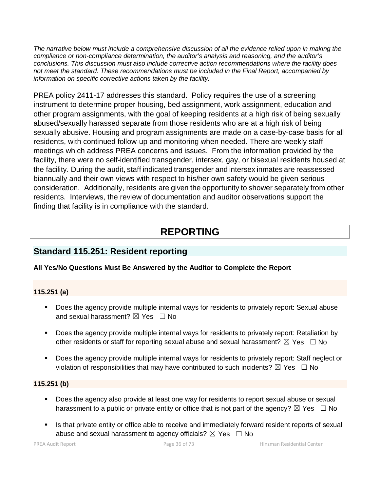*The narrative below must include a comprehensive discussion of all the evidence relied upon in making the compliance or non-compliance determination, the auditor's analysis and reasoning, and the auditor's conclusions. This discussion must also include corrective action recommendations where the facility does not meet the standard. These recommendations must be included in the Final Report, accompanied by information on specific corrective actions taken by the facility.*

PREA policy 2411-17 addresses this standard. Policy requires the use of a screening instrument to determine proper housing, bed assignment, work assignment, education and other program assignments, with the goal of keeping residents at a high risk of being sexually abused/sexually harassed separate from those residents who are at a high risk of being sexually abusive. Housing and program assignments are made on a case-by-case basis for all residents, with continued follow-up and monitoring when needed. There are weekly staff meetings which address PREA concerns and issues. From the information provided by the facility, there were no self-identified transgender, intersex, gay, or bisexual residents housed at the facility. During the audit, staff indicated transgender and intersex inmates are reassessed biannually and their own views with respect to his/her own safety would be given serious consideration. Additionally, residents are given the opportunity to shower separately from other residents. Interviews, the review of documentation and auditor observations support the finding that facility is in compliance with the standard.

# **REPORTING**

## **Standard 115.251: Resident reporting**

## **All Yes/No Questions Must Be Answered by the Auditor to Complete the Report**

## **115.251 (a)**

- Does the agency provide multiple internal ways for residents to privately report: Sexual abuse and sexual harassment?  $\boxtimes$  Yes  $\Box$  No
- **Does the agency provide multiple internal ways for residents to privately report: Retaliation by** other residents or staff for reporting sexual abuse and sexual harassment?  $\boxtimes$  Yes  $\Box$  No
- Does the agency provide multiple internal ways for residents to privately report: Staff neglect or violation of responsibilities that may have contributed to such incidents?  $\boxtimes$  Yes  $\Box$  No

## **115.251 (b)**

- Does the agency also provide at least one way for residents to report sexual abuse or sexual harassment to a public or private entity or office that is not part of the agency?  $\boxtimes$  Yes  $\Box$  No
- Is that private entity or office able to receive and immediately forward resident reports of sexual abuse and sexual harassment to agency officials?  $\boxtimes$  Yes  $\Box$  No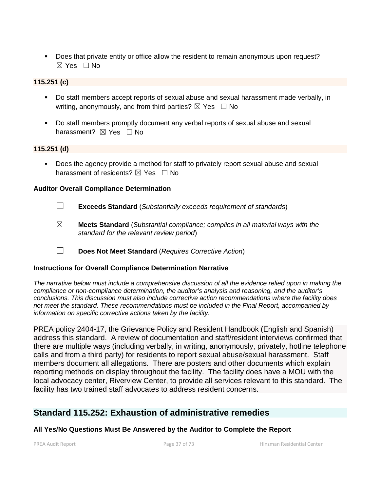Does that private entity or office allow the resident to remain anonymous upon request? ☒ Yes ☐ No

## **115.251 (c)**

- Do staff members accept reports of sexual abuse and sexual harassment made verbally, in writing, anonymously, and from third parties?  $\boxtimes$  Yes  $\Box$  No
- Do staff members promptly document any verbal reports of sexual abuse and sexual harassment?  $\boxtimes$  Yes  $\Box$  No

#### **115.251 (d)**

 Does the agency provide a method for staff to privately report sexual abuse and sexual harassment of residents?  $\boxtimes$  Yes  $\Box$  No

#### **Auditor Overall Compliance Determination**

- ☐ **Exceeds Standard** (*Substantially exceeds requirement of standards*)
- ☒ **Meets Standard** (*Substantial compliance; complies in all material ways with the standard for the relevant review period*)
- ☐ **Does Not Meet Standard** (*Requires Corrective Action*)

## **Instructions for Overall Compliance Determination Narrative**

*The narrative below must include a comprehensive discussion of all the evidence relied upon in making the compliance or non-compliance determination, the auditor's analysis and reasoning, and the auditor's conclusions. This discussion must also include corrective action recommendations where the facility does not meet the standard. These recommendations must be included in the Final Report, accompanied by information on specific corrective actions taken by the facility.*

PREA policy 2404-17, the Grievance Policy and Resident Handbook (English and Spanish) address this standard. A review of documentation and staff/resident interviews confirmed that there are multiple ways (including verbally, in writing, anonymously, privately, hotline telephone calls and from a third party) for residents to report sexual abuse/sexual harassment. Staff members document all allegations. There are posters and other documents which explain reporting methods on display throughout the facility. The facility does have a MOU with the local advocacy center, Riverview Center, to provide all services relevant to this standard. The facility has two trained staff advocates to address resident concerns.

# **Standard 115.252: Exhaustion of administrative remedies**

## **All Yes/No Questions Must Be Answered by the Auditor to Complete the Report**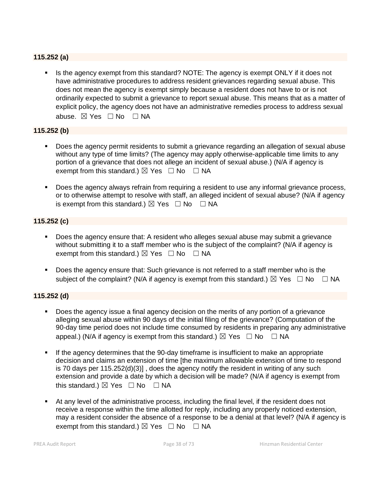## **115.252 (a)**

 Is the agency exempt from this standard? NOTE: The agency is exempt ONLY if it does not have administrative procedures to address resident grievances regarding sexual abuse. This does not mean the agency is exempt simply because a resident does not have to or is not ordinarily expected to submit a grievance to report sexual abuse. This means that as a matter of explicit policy, the agency does not have an administrative remedies process to address sexual abuse. ⊠ Yes □ No □ NA

#### **115.252 (b)**

- Does the agency permit residents to submit a grievance regarding an allegation of sexual abuse without any type of time limits? (The agency may apply otherwise-applicable time limits to any portion of a grievance that does not allege an incident of sexual abuse.) (N/A if agency is exempt from this standard.)  $\boxtimes$  Yes  $\Box$  No  $\Box$  NA
- **Does the agency always refrain from requiring a resident to use any informal grievance process,** or to otherwise attempt to resolve with staff, an alleged incident of sexual abuse? (N/A if agency is exempt from this standard.)  $\boxtimes$  Yes  $\Box$  No  $\Box$  NA

#### **115.252 (c)**

- Does the agency ensure that: A resident who alleges sexual abuse may submit a grievance without submitting it to a staff member who is the subject of the complaint? (N/A if agency is exempt from this standard.)  $\boxtimes$  Yes  $\Box$  No  $\Box$  NA
- Does the agency ensure that: Such grievance is not referred to a staff member who is the subject of the complaint? (N/A if agency is exempt from this standard.)  $\boxtimes$  Yes  $\Box$  No  $\Box$  NA

## **115.252 (d)**

- Does the agency issue a final agency decision on the merits of any portion of a grievance alleging sexual abuse within 90 days of the initial filing of the grievance? (Computation of the 90-day time period does not include time consumed by residents in preparing any administrative appeal.) (N/A if agency is exempt from this standard.)  $\boxtimes$  Yes  $\Box$  No  $\Box$  NA
- If the agency determines that the 90-day timeframe is insufficient to make an appropriate decision and claims an extension of time [the maximum allowable extension of time to respond is 70 days per 115.252(d)(3)] , does the agency notify the resident in writing of any such extension and provide a date by which a decision will be made? (N/A if agency is exempt from this standard.)  $\boxtimes$  Yes  $\Box$  No  $\Box$  NA
- At any level of the administrative process, including the final level, if the resident does not receive a response within the time allotted for reply, including any properly noticed extension, may a resident consider the absence of a response to be a denial at that level? (N/A if agency is exempt from this standard.)  $\boxtimes$  Yes  $\Box$  No  $\Box$  NA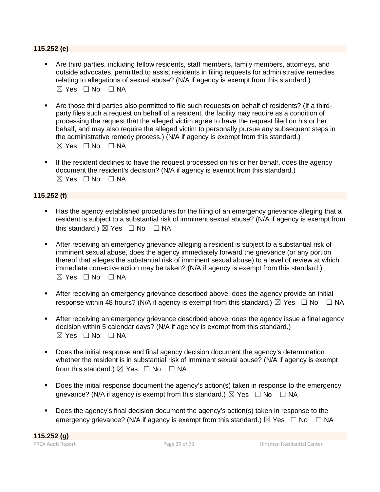#### **115.252 (e)**

- Are third parties, including fellow residents, staff members, family members, attorneys, and outside advocates, permitted to assist residents in filing requests for administrative remedies relating to allegations of sexual abuse? (N/A if agency is exempt from this standard.)  $\boxtimes$  Yes  $\Box$  No  $\Box$  NA
- Are those third parties also permitted to file such requests on behalf of residents? (If a thirdparty files such a request on behalf of a resident, the facility may require as a condition of processing the request that the alleged victim agree to have the request filed on his or her behalf, and may also require the alleged victim to personally pursue any subsequent steps in the administrative remedy process.) (N/A if agency is exempt from this standard.)  $\boxtimes$  Yes  $\Box$  No  $\Box$  NA
- If the resident declines to have the request processed on his or her behalf, does the agency document the resident's decision? (N/A if agency is exempt from this standard.)  $\boxtimes$  Yes  $\Box$  No  $\Box$  NA

## **115.252 (f)**

- Has the agency established procedures for the filing of an emergency grievance alleging that a resident is subject to a substantial risk of imminent sexual abuse? (N/A if agency is exempt from this standard.)  $\boxtimes$  Yes  $\Box$  No  $\Box$  NA
- After receiving an emergency grievance alleging a resident is subject to a substantial risk of imminent sexual abuse, does the agency immediately forward the grievance (or any portion thereof that alleges the substantial risk of imminent sexual abuse) to a level of review at which immediate corrective action may be taken? (N/A if agency is exempt from this standard.).  $\boxtimes$  Yes  $\square$  No  $\square$  NA
- After receiving an emergency grievance described above, does the agency provide an initial response within 48 hours? (N/A if agency is exempt from this standard.)  $\boxtimes$  Yes  $\Box$  No  $\Box$  NA
- After receiving an emergency grievance described above, does the agency issue a final agency decision within 5 calendar days? (N/A if agency is exempt from this standard.)  $\boxtimes$  Yes  $\square$  No  $\square$  NA
- Does the initial response and final agency decision document the agency's determination whether the resident is in substantial risk of imminent sexual abuse? (N/A if agency is exempt from this standard.)  $\boxtimes$  Yes  $\Box$  No  $\Box$  NA
- Does the initial response document the agency's action(s) taken in response to the emergency grievance? (N/A if agency is exempt from this standard.)  $\boxtimes$  Yes  $\Box$  No  $\Box$  NA
- Does the agency's final decision document the agency's action(s) taken in response to the emergency grievance? (N/A if agency is exempt from this standard.)  $\boxtimes$  Yes  $\Box$  No  $\Box$  NA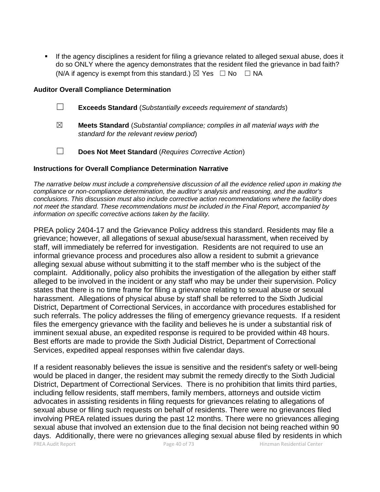If the agency disciplines a resident for filing a grievance related to alleged sexual abuse, does it do so ONLY where the agency demonstrates that the resident filed the grievance in bad faith? (N/A if agency is exempt from this standard.)  $\boxtimes$  Yes  $\Box$  No  $\Box$  NA

#### **Auditor Overall Compliance Determination**

- ☐ **Exceeds Standard** (*Substantially exceeds requirement of standards*)
- ☒ **Meets Standard** (*Substantial compliance; complies in all material ways with the standard for the relevant review period*)
- ☐ **Does Not Meet Standard** (*Requires Corrective Action*)

#### **Instructions for Overall Compliance Determination Narrative**

*The narrative below must include a comprehensive discussion of all the evidence relied upon in making the compliance or non-compliance determination, the auditor's analysis and reasoning, and the auditor's conclusions. This discussion must also include corrective action recommendations where the facility does not meet the standard. These recommendations must be included in the Final Report, accompanied by information on specific corrective actions taken by the facility.*

PREA policy 2404-17 and the Grievance Policy address this standard. Residents may file a grievance; however, all allegations of sexual abuse/sexual harassment, when received by staff, will immediately be referred for investigation. Residents are not required to use an informal grievance process and procedures also allow a resident to submit a grievance alleging sexual abuse without submitting it to the staff member who is the subject of the complaint. Additionally, policy also prohibits the investigation of the allegation by either staff alleged to be involved in the incident or any staff who may be under their supervision. Policy states that there is no time frame for filing a grievance relating to sexual abuse or sexual harassment. Allegations of physical abuse by staff shall be referred to the Sixth Judicial District, Department of Correctional Services, in accordance with procedures established for such referrals. The policy addresses the filing of emergency grievance requests. If a resident files the emergency grievance with the facility and believes he is under a substantial risk of imminent sexual abuse, an expedited response is required to be provided within 48 hours. Best efforts are made to provide the Sixth Judicial District, Department of Correctional Services, expedited appeal responses within five calendar days.

PREA Audit Report **Page 40 of 73** Page 40 of 73 Hinzman Residential Center If a resident reasonably believes the issue is sensitive and the resident's safety or well-being would be placed in danger, the resident may submit the remedy directly to the Sixth Judicial District, Department of Correctional Services. There is no prohibition that limits third parties, including fellow residents, staff members, family members, attorneys and outside victim advocates in assisting residents in filing requests for grievances relating to allegations of sexual abuse or filing such requests on behalf of residents. There were no grievances filed involving PREA related issues during the past 12 months. There were no grievances alleging sexual abuse that involved an extension due to the final decision not being reached within 90 days. Additionally, there were no grievances alleging sexual abuse filed by residents in which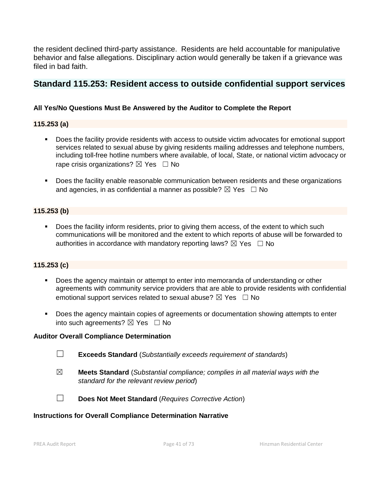the resident declined third-party assistance. Residents are held accountable for manipulative behavior and false allegations. Disciplinary action would generally be taken if a grievance was filed in bad faith.

# **Standard 115.253: Resident access to outside confidential support services**

## **All Yes/No Questions Must Be Answered by the Auditor to Complete the Report**

## **115.253 (a)**

- **Does the facility provide residents with access to outside victim advocates for emotional support** services related to sexual abuse by giving residents mailing addresses and telephone numbers, including toll-free hotline numbers where available, of local, State, or national victim advocacy or rape crisis organizations?  $\boxtimes$  Yes  $\Box$  No
- **Does the facility enable reasonable communication between residents and these organizations** and agencies, in as confidential a manner as possible?  $\boxtimes$  Yes  $\Box$  No

## **115.253 (b)**

Does the facility inform residents, prior to giving them access, of the extent to which such communications will be monitored and the extent to which reports of abuse will be forwarded to authorities in accordance with mandatory reporting laws?  $\boxtimes$  Yes  $\Box$  No

## **115.253 (c)**

- Does the agency maintain or attempt to enter into memoranda of understanding or other agreements with community service providers that are able to provide residents with confidential emotional support services related to sexual abuse?  $\boxtimes$  Yes  $\Box$  No
- **Does the agency maintain copies of agreements or documentation showing attempts to enter** into such agreements?  $\boxtimes$  Yes  $\Box$  No

## **Auditor Overall Compliance Determination**

- ☐ **Exceeds Standard** (*Substantially exceeds requirement of standards*)
- ☒ **Meets Standard** (*Substantial compliance; complies in all material ways with the standard for the relevant review period*)

☐ **Does Not Meet Standard** (*Requires Corrective Action*)

## **Instructions for Overall Compliance Determination Narrative**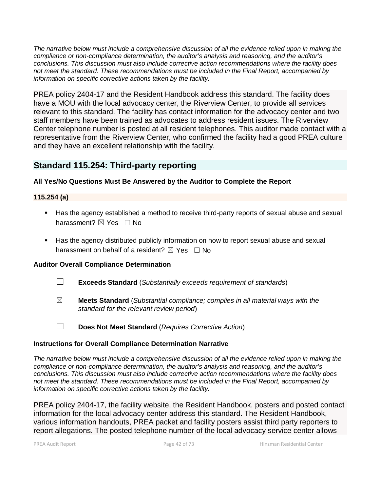*The narrative below must include a comprehensive discussion of all the evidence relied upon in making the compliance or non-compliance determination, the auditor's analysis and reasoning, and the auditor's conclusions. This discussion must also include corrective action recommendations where the facility does not meet the standard. These recommendations must be included in the Final Report, accompanied by information on specific corrective actions taken by the facility.*

PREA policy 2404-17 and the Resident Handbook address this standard. The facility does have a MOU with the local advocacy center, the Riverview Center, to provide all services relevant to this standard. The facility has contact information for the advocacy center and two staff members have been trained as advocates to address resident issues. The Riverview Center telephone number is posted at all resident telephones. This auditor made contact with a representative from the Riverview Center, who confirmed the facility had a good PREA culture and they have an excellent relationship with the facility.

# **Standard 115.254: Third-party reporting**

## **All Yes/No Questions Must Be Answered by the Auditor to Complete the Report**

## **115.254 (a)**

- Has the agency established a method to receive third-party reports of sexual abuse and sexual harassment?  $\boxtimes$  Yes  $\Box$  No
- Has the agency distributed publicly information on how to report sexual abuse and sexual harassment on behalf of a resident?  $\boxtimes$  Yes  $\Box$  No

## **Auditor Overall Compliance Determination**

- ☐ **Exceeds Standard** (*Substantially exceeds requirement of standards*)
- ☒ **Meets Standard** (*Substantial compliance; complies in all material ways with the standard for the relevant review period*)
- ☐ **Does Not Meet Standard** (*Requires Corrective Action*)

## **Instructions for Overall Compliance Determination Narrative**

*The narrative below must include a comprehensive discussion of all the evidence relied upon in making the compliance or non-compliance determination, the auditor's analysis and reasoning, and the auditor's conclusions. This discussion must also include corrective action recommendations where the facility does not meet the standard. These recommendations must be included in the Final Report, accompanied by information on specific corrective actions taken by the facility.*

PREA policy 2404-17, the facility website, the Resident Handbook, posters and posted contact information for the local advocacy center address this standard. The Resident Handbook, various information handouts, PREA packet and facility posters assist third party reporters to report allegations. The posted telephone number of the local advocacy service center allows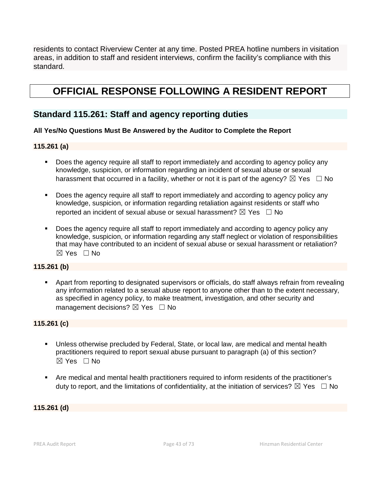residents to contact Riverview Center at any time. Posted PREA hotline numbers in visitation areas, in addition to staff and resident interviews, confirm the facility's compliance with this standard.

# **OFFICIAL RESPONSE FOLLOWING A RESIDENT REPORT**

## **Standard 115.261: Staff and agency reporting duties**

## **All Yes/No Questions Must Be Answered by the Auditor to Complete the Report**

#### **115.261 (a)**

- Does the agency require all staff to report immediately and according to agency policy any knowledge, suspicion, or information regarding an incident of sexual abuse or sexual harassment that occurred in a facility, whether or not it is part of the agency?  $\boxtimes$  Yes  $\Box$  No
- Does the agency require all staff to report immediately and according to agency policy any knowledge, suspicion, or information regarding retaliation against residents or staff who reported an incident of sexual abuse or sexual harassment?  $\boxtimes$  Yes  $\Box$  No
- **Does the agency require all staff to report immediately and according to agency policy any** knowledge, suspicion, or information regarding any staff neglect or violation of responsibilities that may have contributed to an incident of sexual abuse or sexual harassment or retaliation?  $\boxtimes$  Yes  $\Box$  No

## **115.261 (b)**

 Apart from reporting to designated supervisors or officials, do staff always refrain from revealing any information related to a sexual abuse report to anyone other than to the extent necessary, as specified in agency policy, to make treatment, investigation, and other security and management decisions?  $\boxtimes$  Yes  $\Box$  No

## **115.261 (c)**

- Unless otherwise precluded by Federal, State, or local law, are medical and mental health practitioners required to report sexual abuse pursuant to paragraph (a) of this section?  $\boxtimes$  Yes  $\Box$  No
- Are medical and mental health practitioners required to inform residents of the practitioner's duty to report, and the limitations of confidentiality, at the initiation of services?  $\boxtimes$  Yes  $\Box$  No

**115.261 (d)**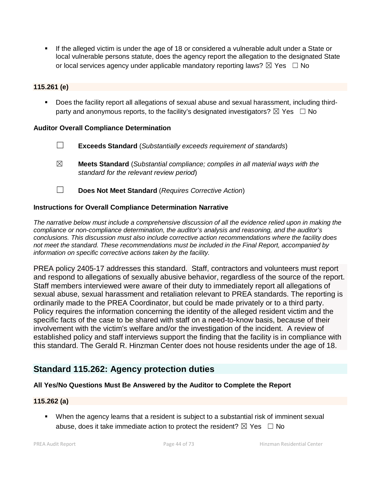If the alleged victim is under the age of 18 or considered a vulnerable adult under a State or local vulnerable persons statute, does the agency report the allegation to the designated State or local services agency under applicable mandatory reporting laws?  $\boxtimes$  Yes  $\Box$  No

## **115.261 (e)**

 Does the facility report all allegations of sexual abuse and sexual harassment, including thirdparty and anonymous reports, to the facility's designated investigators?  $\boxtimes$  Yes  $\Box$  No

#### **Auditor Overall Compliance Determination**

- ☐ **Exceeds Standard** (*Substantially exceeds requirement of standards*)
- ☒ **Meets Standard** (*Substantial compliance; complies in all material ways with the standard for the relevant review period*)
- ☐ **Does Not Meet Standard** (*Requires Corrective Action*)

### **Instructions for Overall Compliance Determination Narrative**

*The narrative below must include a comprehensive discussion of all the evidence relied upon in making the compliance or non-compliance determination, the auditor's analysis and reasoning, and the auditor's conclusions. This discussion must also include corrective action recommendations where the facility does not meet the standard. These recommendations must be included in the Final Report, accompanied by information on specific corrective actions taken by the facility.*

PREA policy 2405-17 addresses this standard. Staff, contractors and volunteers must report and respond to allegations of sexually abusive behavior, regardless of the source of the report. Staff members interviewed were aware of their duty to immediately report all allegations of sexual abuse, sexual harassment and retaliation relevant to PREA standards. The reporting is ordinarily made to the PREA Coordinator, but could be made privately or to a third party. Policy requires the information concerning the identity of the alleged resident victim and the specific facts of the case to be shared with staff on a need-to-know basis, because of their involvement with the victim's welfare and/or the investigation of the incident. A review of established policy and staff interviews support the finding that the facility is in compliance with this standard. The Gerald R. Hinzman Center does not house residents under the age of 18.

## **Standard 115.262: Agency protection duties**

#### **All Yes/No Questions Must Be Answered by the Auditor to Complete the Report**

#### **115.262 (a)**

 When the agency learns that a resident is subject to a substantial risk of imminent sexual abuse, does it take immediate action to protect the resident?  $\boxtimes$  Yes  $\Box$  No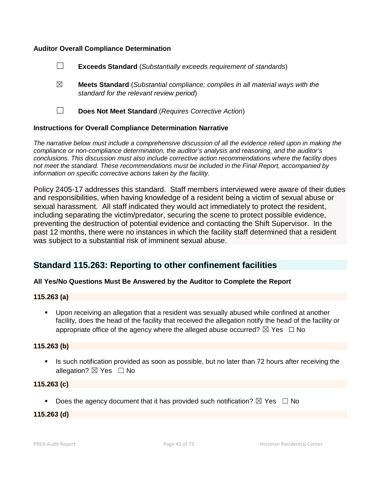#### **Auditor Overall Compliance Determination**

|           | <b>Exceeds Standard</b> (Substantially exceeds requirement of standards)                                                          |
|-----------|-----------------------------------------------------------------------------------------------------------------------------------|
| $\bowtie$ | <b>Meets Standard</b> (Substantial compliance; complies in all material ways with the<br>standard for the relevant review period) |
|           | Does Not Meet Standard (Requires Corrective Action)                                                                               |

#### **Instructions for Overall Compliance Determination Narrative**

*The narrative below must include a comprehensive discussion of all the evidence relied upon in making the compliance or non-compliance determination, the auditor's analysis and reasoning, and the auditor's conclusions. This discussion must also include corrective action recommendations where the facility does not meet the standard. These recommendations must be included in the Final Report, accompanied by information on specific corrective actions taken by the facility.*

Policy 2405-17 addresses this standard. Staff members interviewed were aware of their duties and responsibilities, when having knowledge of a resident being a victim of sexual abuse or sexual harassment. All staff indicated they would act immediately to protect the resident, including separating the victim/predator, securing the scene to protect possible evidence, preventing the destruction of potential evidence and contacting the Shift Supervisor. In the past 12 months, there were no instances in which the facility staff determined that a resident was subject to a substantial risk of imminent sexual abuse.

## **Standard 115.263: Reporting to other confinement facilities**

## **All Yes/No Questions Must Be Answered by the Auditor to Complete the Report**

## **115.263 (a)**

 Upon receiving an allegation that a resident was sexually abused while confined at another facility, does the head of the facility that received the allegation notify the head of the facility or appropriate office of the agency where the alleged abuse occurred?  $\boxtimes$  Yes  $\Box$  No

#### **115.263 (b)**

Is such notification provided as soon as possible, but no later than 72 hours after receiving the allegation?  $\boxtimes$  Yes  $\Box$  No

#### **115.263 (c)**

Does the agency document that it has provided such notification?  $\boxtimes$  Yes  $\Box$  No

#### **115.263 (d)**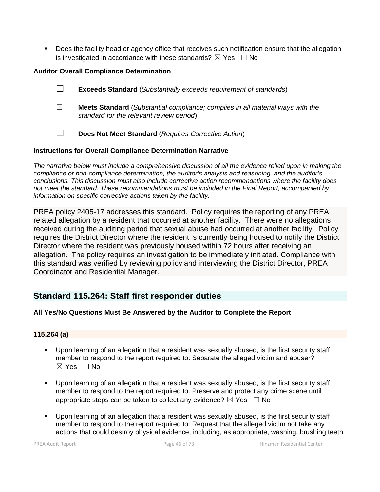**Does the facility head or agency office that receives such notification ensure that the allegation** is investigated in accordance with these standards?  $\boxtimes$  Yes  $\Box$  No

## **Auditor Overall Compliance Determination**

- ☐ **Exceeds Standard** (*Substantially exceeds requirement of standards*)
- ☒ **Meets Standard** (*Substantial compliance; complies in all material ways with the standard for the relevant review period*)
- ☐ **Does Not Meet Standard** (*Requires Corrective Action*)

## **Instructions for Overall Compliance Determination Narrative**

*The narrative below must include a comprehensive discussion of all the evidence relied upon in making the compliance or non-compliance determination, the auditor's analysis and reasoning, and the auditor's conclusions. This discussion must also include corrective action recommendations where the facility does not meet the standard. These recommendations must be included in the Final Report, accompanied by information on specific corrective actions taken by the facility.*

PREA policy 2405-17 addresses this standard. Policy requires the reporting of any PREA related allegation by a resident that occurred at another facility. There were no allegations received during the auditing period that sexual abuse had occurred at another facility. Policy requires the District Director where the resident is currently being housed to notify the District Director where the resident was previously housed within 72 hours after receiving an allegation. The policy requires an investigation to be immediately initiated. Compliance with this standard was verified by reviewing policy and interviewing the District Director, PREA Coordinator and Residential Manager.

# **Standard 115.264: Staff first responder duties**

## **All Yes/No Questions Must Be Answered by the Auditor to Complete the Report**

## **115.264 (a)**

- Upon learning of an allegation that a resident was sexually abused, is the first security staff member to respond to the report required to: Separate the alleged victim and abuser?  $\boxtimes$  Yes  $\Box$  No
- Upon learning of an allegation that a resident was sexually abused, is the first security staff member to respond to the report required to: Preserve and protect any crime scene until appropriate steps can be taken to collect any evidence?  $\boxtimes$  Yes  $\Box$  No
- Upon learning of an allegation that a resident was sexually abused, is the first security staff member to respond to the report required to: Request that the alleged victim not take any actions that could destroy physical evidence, including, as appropriate, washing, brushing teeth,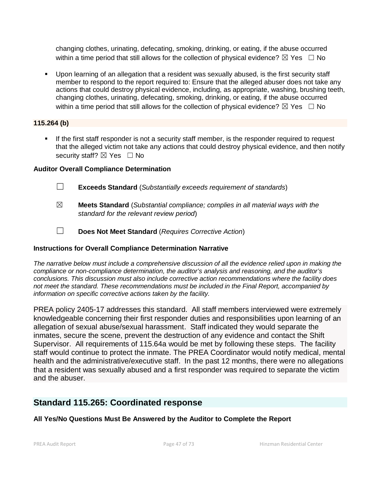changing clothes, urinating, defecating, smoking, drinking, or eating, if the abuse occurred within a time period that still allows for the collection of physical evidence?  $\boxtimes$  Yes  $\Box$  No

 Upon learning of an allegation that a resident was sexually abused, is the first security staff member to respond to the report required to: Ensure that the alleged abuser does not take any actions that could destroy physical evidence, including, as appropriate, washing, brushing teeth, changing clothes, urinating, defecating, smoking, drinking, or eating, if the abuse occurred within a time period that still allows for the collection of physical evidence?  $\boxtimes$  Yes  $\Box$  No

## **115.264 (b)**

If the first staff responder is not a security staff member, is the responder required to request that the alleged victim not take any actions that could destroy physical evidence, and then notify security staff? ⊠ Yes □ No

## **Auditor Overall Compliance Determination**

- ☐ **Exceeds Standard** (*Substantially exceeds requirement of standards*)
- ☒ **Meets Standard** (*Substantial compliance; complies in all material ways with the standard for the relevant review period*)
- ☐ **Does Not Meet Standard** (*Requires Corrective Action*)

## **Instructions for Overall Compliance Determination Narrative**

*The narrative below must include a comprehensive discussion of all the evidence relied upon in making the compliance or non-compliance determination, the auditor's analysis and reasoning, and the auditor's conclusions. This discussion must also include corrective action recommendations where the facility does not meet the standard. These recommendations must be included in the Final Report, accompanied by information on specific corrective actions taken by the facility.*

PREA policy 2405-17 addresses this standard. All staff members interviewed were extremely knowledgeable concerning their first responder duties and responsibilities upon learning of an allegation of sexual abuse/sexual harassment. Staff indicated they would separate the inmates, secure the scene, prevent the destruction of any evidence and contact the Shift Supervisor. All requirements of 115.64a would be met by following these steps. The facility staff would continue to protect the inmate. The PREA Coordinator would notify medical, mental health and the administrative/executive staff. In the past 12 months, there were no allegations that a resident was sexually abused and a first responder was required to separate the victim and the abuser.

# **Standard 115.265: Coordinated response**

**All Yes/No Questions Must Be Answered by the Auditor to Complete the Report**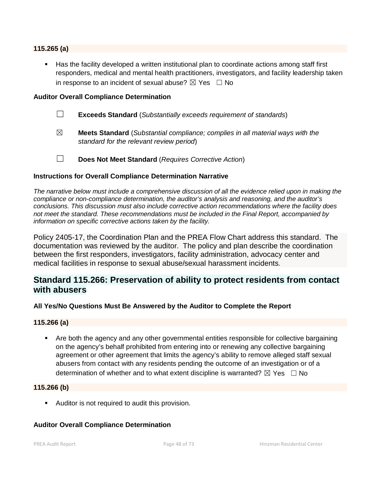#### **115.265 (a)**

 Has the facility developed a written institutional plan to coordinate actions among staff first responders, medical and mental health practitioners, investigators, and facility leadership taken in response to an incident of sexual abuse?  $\boxtimes$  Yes  $\Box$  No

#### **Auditor Overall Compliance Determination**

- ☐ **Exceeds Standard** (*Substantially exceeds requirement of standards*)
- ☒ **Meets Standard** (*Substantial compliance; complies in all material ways with the standard for the relevant review period*)
- 
- ☐ **Does Not Meet Standard** (*Requires Corrective Action*)

#### **Instructions for Overall Compliance Determination Narrative**

*The narrative below must include a comprehensive discussion of all the evidence relied upon in making the compliance or non-compliance determination, the auditor's analysis and reasoning, and the auditor's conclusions. This discussion must also include corrective action recommendations where the facility does not meet the standard. These recommendations must be included in the Final Report, accompanied by information on specific corrective actions taken by the facility.*

Policy 2405-17, the Coordination Plan and the PREA Flow Chart address this standard. The documentation was reviewed by the auditor. The policy and plan describe the coordination between the first responders, investigators, facility administration, advocacy center and medical facilities in response to sexual abuse/sexual harassment incidents.

# **Standard 115.266: Preservation of ability to protect residents from contact with abusers**

#### **All Yes/No Questions Must Be Answered by the Auditor to Complete the Report**

#### **115.266 (a)**

 Are both the agency and any other governmental entities responsible for collective bargaining on the agency's behalf prohibited from entering into or renewing any collective bargaining agreement or other agreement that limits the agency's ability to remove alleged staff sexual abusers from contact with any residents pending the outcome of an investigation or of a determination of whether and to what extent discipline is warranted?  $\boxtimes$  Yes  $\Box$  No

#### **115.266 (b)**

Auditor is not required to audit this provision.

## **Auditor Overall Compliance Determination**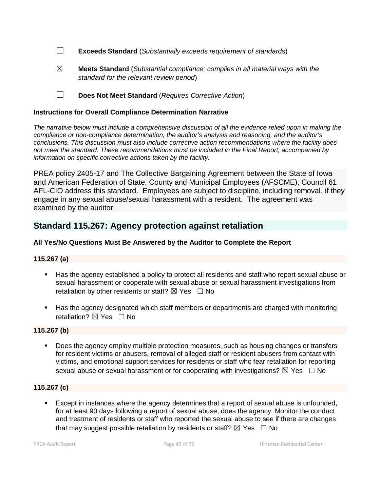☐ **Exceeds Standard** (*Substantially exceeds requirement of standards*)

☒ **Meets Standard** (*Substantial compliance; complies in all material ways with the standard for the relevant review period*)

☐ **Does Not Meet Standard** (*Requires Corrective Action*)

### **Instructions for Overall Compliance Determination Narrative**

*The narrative below must include a comprehensive discussion of all the evidence relied upon in making the compliance or non-compliance determination, the auditor's analysis and reasoning, and the auditor's conclusions. This discussion must also include corrective action recommendations where the facility does not meet the standard. These recommendations must be included in the Final Report, accompanied by information on specific corrective actions taken by the facility.*

PREA policy 2405-17 and The Collective Bargaining Agreement between the State of Iowa and American Federation of State, County and Municipal Employees (AFSCME), Council 61 AFL-CIO address this standard. Employees are subject to discipline, including removal, if they engage in any sexual abuse/sexual harassment with a resident. The agreement was examined by the auditor.

# **Standard 115.267: Agency protection against retaliation**

## **All Yes/No Questions Must Be Answered by the Auditor to Complete the Report**

## **115.267 (a)**

- Has the agency established a policy to protect all residents and staff who report sexual abuse or sexual harassment or cooperate with sexual abuse or sexual harassment investigations from retaliation by other residents or staff?  $\boxtimes$  Yes  $\Box$  No
- Has the agency designated which staff members or departments are charged with monitoring retaliation?  $\nabla$  Yes  $\Box$  No

#### **115.267 (b)**

 Does the agency employ multiple protection measures, such as housing changes or transfers for resident victims or abusers, removal of alleged staff or resident abusers from contact with victims, and emotional support services for residents or staff who fear retaliation for reporting sexual abuse or sexual harassment or for cooperating with investigations?  $\boxtimes$  Yes  $\Box$  No

#### **115.267 (c)**

 Except in instances where the agency determines that a report of sexual abuse is unfounded, for at least 90 days following a report of sexual abuse, does the agency: Monitor the conduct and treatment of residents or staff who reported the sexual abuse to see if there are changes that may suggest possible retaliation by residents or staff?  $\boxtimes$  Yes  $\Box$  No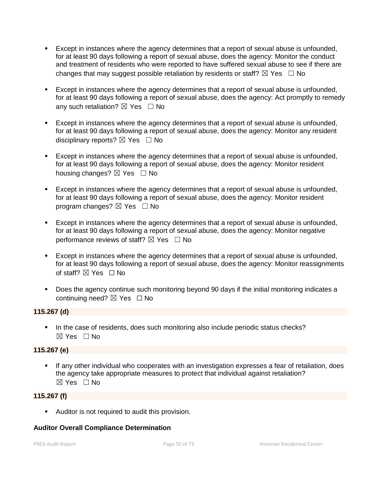- Except in instances where the agency determines that a report of sexual abuse is unfounded, for at least 90 days following a report of sexual abuse, does the agency: Monitor the conduct and treatment of residents who were reported to have suffered sexual abuse to see if there are changes that may suggest possible retaliation by residents or staff?  $\boxtimes$  Yes  $\Box$  No
- **Except in instances where the agency determines that a report of sexual abuse is unfounded.** for at least 90 days following a report of sexual abuse, does the agency: Act promptly to remedy any such retaliation?  $\boxtimes$  Yes  $\Box$  No
- Except in instances where the agency determines that a report of sexual abuse is unfounded, for at least 90 days following a report of sexual abuse, does the agency: Monitor any resident disciplinary reports?  $\boxtimes$  Yes  $\Box$  No
- Except in instances where the agency determines that a report of sexual abuse is unfounded, for at least 90 days following a report of sexual abuse, does the agency: Monitor resident housing changes?  $\boxtimes$  Yes  $\Box$  No
- Except in instances where the agency determines that a report of sexual abuse is unfounded, for at least 90 days following a report of sexual abuse, does the agency: Monitor resident program changes?  $\boxtimes$  Yes  $\Box$  No
- Except in instances where the agency determines that a report of sexual abuse is unfounded, for at least 90 days following a report of sexual abuse, does the agency: Monitor negative performance reviews of staff?  $\boxtimes$  Yes  $\Box$  No
- Except in instances where the agency determines that a report of sexual abuse is unfounded, for at least 90 days following a report of sexual abuse, does the agency: Monitor reassignments of staff?  $\boxtimes$  Yes  $\Box$  No
- **Does the agency continue such monitoring beyond 90 days if the initial monitoring indicates a** continuing need? **⊠** Yes □ No

## **115.267 (d)**

In the case of residents, does such monitoring also include periodic status checks?  $\boxtimes$  Yes  $\Box$  No

## **115.267 (e)**

 If any other individual who cooperates with an investigation expresses a fear of retaliation, does the agency take appropriate measures to protect that individual against retaliation?  $\boxtimes$  Yes  $\Box$  No

## **115.267 (f)**

Auditor is not required to audit this provision.

## **Auditor Overall Compliance Determination**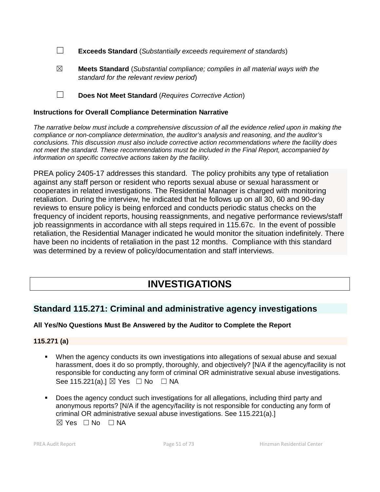- ☐ **Exceeds Standard** (*Substantially exceeds requirement of standards*)
- ☒ **Meets Standard** (*Substantial compliance; complies in all material ways with the standard for the relevant review period*)
- ☐ **Does Not Meet Standard** (*Requires Corrective Action*)

### **Instructions for Overall Compliance Determination Narrative**

*The narrative below must include a comprehensive discussion of all the evidence relied upon in making the compliance or non-compliance determination, the auditor's analysis and reasoning, and the auditor's conclusions. This discussion must also include corrective action recommendations where the facility does not meet the standard. These recommendations must be included in the Final Report, accompanied by information on specific corrective actions taken by the facility.*

PREA policy 2405-17 addresses this standard. The policy prohibits any type of retaliation against any staff person or resident who reports sexual abuse or sexual harassment or cooperates in related investigations. The Residential Manager is charged with monitoring retaliation. During the interview, he indicated that he follows up on all 30, 60 and 90-day reviews to ensure policy is being enforced and conducts periodic status checks on the frequency of incident reports, housing reassignments, and negative performance reviews/staff job reassignments in accordance with all steps required in 115.67c. In the event of possible retaliation, the Residential Manager indicated he would monitor the situation indefinitely. There have been no incidents of retaliation in the past 12 months. Compliance with this standard was determined by a review of policy/documentation and staff interviews.

# **INVESTIGATIONS**

# **Standard 115.271: Criminal and administrative agency investigations**

## **All Yes/No Questions Must Be Answered by the Auditor to Complete the Report**

## **115.271 (a)**

- When the agency conducts its own investigations into allegations of sexual abuse and sexual harassment, does it do so promptly, thoroughly, and objectively? [N/A if the agency/facility is not responsible for conducting any form of criminal OR administrative sexual abuse investigations. See 115.221(a).]  $\boxtimes$  Yes  $\Box$  No  $\Box$  NA
- Does the agency conduct such investigations for all allegations, including third party and anonymous reports? [N/A if the agency/facility is not responsible for conducting any form of criminal OR administrative sexual abuse investigations. See 115.221(a).]  $⊠$  Yes  $□$  No  $□$  NA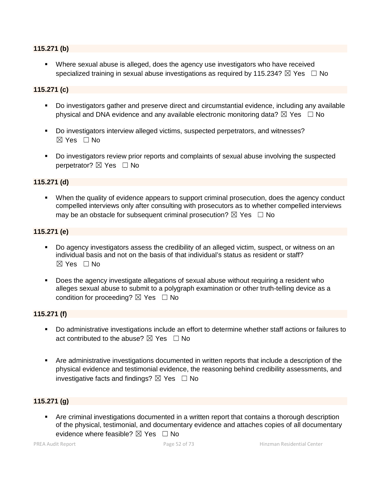#### **115.271 (b)**

 Where sexual abuse is alleged, does the agency use investigators who have received specialized training in sexual abuse investigations as required by 115.234?  $\boxtimes$  Yes  $\Box$  No

### **115.271 (c)**

- Do investigators gather and preserve direct and circumstantial evidence, including any available physical and DNA evidence and any available electronic monitoring data?  $\boxtimes$  Yes  $\Box$  No
- Do investigators interview alleged victims, suspected perpetrators, and witnesses?  $\boxtimes$  Yes  $\Box$  No
- Do investigators review prior reports and complaints of sexual abuse involving the suspected perpetrator?  $\boxtimes$  Yes  $\Box$  No

#### **115.271 (d)**

 When the quality of evidence appears to support criminal prosecution, does the agency conduct compelled interviews only after consulting with prosecutors as to whether compelled interviews may be an obstacle for subsequent criminal prosecution?  $\boxtimes$  Yes  $\Box$  No

#### **115.271 (e)**

- Do agency investigators assess the credibility of an alleged victim, suspect, or witness on an individual basis and not on the basis of that individual's status as resident or staff?  $\boxtimes$  Yes  $\Box$  No
- Does the agency investigate allegations of sexual abuse without requiring a resident who alleges sexual abuse to submit to a polygraph examination or other truth-telling device as a condition for proceeding?  $\boxtimes$  Yes  $\Box$  No

#### **115.271 (f)**

- Do administrative investigations include an effort to determine whether staff actions or failures to act contributed to the abuse?  $\boxtimes$  Yes  $\Box$  No
- Are administrative investigations documented in written reports that include a description of the physical evidence and testimonial evidence, the reasoning behind credibility assessments, and investigative facts and findings?  $\boxtimes$  Yes  $\Box$  No

## **115.271 (g)**

 Are criminal investigations documented in a written report that contains a thorough description of the physical, testimonial, and documentary evidence and attaches copies of all documentary evidence where feasible?  $\boxtimes$  Yes  $\Box$  No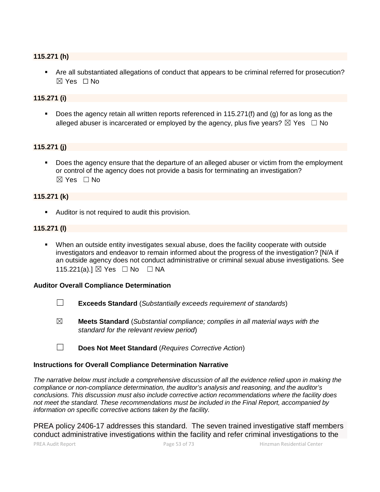## **115.271 (h)**

 Are all substantiated allegations of conduct that appears to be criminal referred for prosecution?  $\boxtimes$  Yes  $\Box$  No

## **115.271 (i)**

Does the agency retain all written reports referenced in 115.271(f) and (g) for as long as the alleged abuser is incarcerated or employed by the agency, plus five years?  $\boxtimes$  Yes  $\Box$  No

## **115.271 (j)**

 Does the agency ensure that the departure of an alleged abuser or victim from the employment or control of the agency does not provide a basis for terminating an investigation?  $\boxtimes$  Yes  $\Box$  No

## **115.271 (k)**

Auditor is not required to audit this provision.

#### **115.271 (l)**

 When an outside entity investigates sexual abuse, does the facility cooperate with outside investigators and endeavor to remain informed about the progress of the investigation? [N/A if an outside agency does not conduct administrative or criminal sexual abuse investigations. See 115.221(a).] ⊠ Yes □ No □ NA

#### **Auditor Overall Compliance Determination**

- ☐ **Exceeds Standard** (*Substantially exceeds requirement of standards*)
- ☒ **Meets Standard** (*Substantial compliance; complies in all material ways with the standard for the relevant review period*)
- ☐ **Does Not Meet Standard** (*Requires Corrective Action*)

## **Instructions for Overall Compliance Determination Narrative**

*The narrative below must include a comprehensive discussion of all the evidence relied upon in making the compliance or non-compliance determination, the auditor's analysis and reasoning, and the auditor's conclusions. This discussion must also include corrective action recommendations where the facility does not meet the standard. These recommendations must be included in the Final Report, accompanied by information on specific corrective actions taken by the facility.*

PREA policy 2406-17 addresses this standard. The seven trained investigative staff members conduct administrative investigations within the facility and refer criminal investigations to the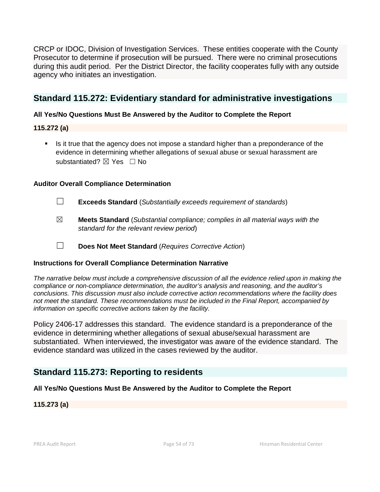CRCP or IDOC, Division of Investigation Services. These entities cooperate with the County Prosecutor to determine if prosecution will be pursued. There were no criminal prosecutions during this audit period. Per the District Director, the facility cooperates fully with any outside agency who initiates an investigation.

# **Standard 115.272: Evidentiary standard for administrative investigations**

## **All Yes/No Questions Must Be Answered by the Auditor to Complete the Report**

## **115.272 (a)**

 Is it true that the agency does not impose a standard higher than a preponderance of the evidence in determining whether allegations of sexual abuse or sexual harassment are substantiated? **⊠** Yes □ No

## **Auditor Overall Compliance Determination**

- ☐ **Exceeds Standard** (*Substantially exceeds requirement of standards*)
- ☒ **Meets Standard** (*Substantial compliance; complies in all material ways with the standard for the relevant review period*)
- ☐ **Does Not Meet Standard** (*Requires Corrective Action*)

## **Instructions for Overall Compliance Determination Narrative**

*The narrative below must include a comprehensive discussion of all the evidence relied upon in making the compliance or non-compliance determination, the auditor's analysis and reasoning, and the auditor's conclusions. This discussion must also include corrective action recommendations where the facility does not meet the standard. These recommendations must be included in the Final Report, accompanied by information on specific corrective actions taken by the facility.*

Policy 2406-17 addresses this standard. The evidence standard is a preponderance of the evidence in determining whether allegations of sexual abuse/sexual harassment are substantiated. When interviewed, the investigator was aware of the evidence standard. The evidence standard was utilized in the cases reviewed by the auditor.

# **Standard 115.273: Reporting to residents**

## **All Yes/No Questions Must Be Answered by the Auditor to Complete the Report**

## **115.273 (a)**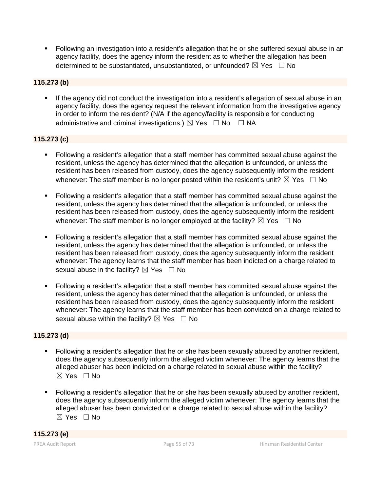Following an investigation into a resident's allegation that he or she suffered sexual abuse in an agency facility, does the agency inform the resident as to whether the allegation has been determined to be substantiated, unsubstantiated, or unfounded?  $\boxtimes$  Yes  $\Box$  No

## **115.273 (b)**

 If the agency did not conduct the investigation into a resident's allegation of sexual abuse in an agency facility, does the agency request the relevant information from the investigative agency in order to inform the resident? (N/A if the agency/facility is responsible for conducting administrative and criminal investigations.)  $\boxtimes$  Yes  $\Box$  No  $\Box$  NA

## **115.273 (c)**

- Following a resident's allegation that a staff member has committed sexual abuse against the resident, unless the agency has determined that the allegation is unfounded, or unless the resident has been released from custody, does the agency subsequently inform the resident whenever: The staff member is no longer posted within the resident's unit?  $\boxtimes$  Yes  $\Box$  No
- Following a resident's allegation that a staff member has committed sexual abuse against the resident, unless the agency has determined that the allegation is unfounded, or unless the resident has been released from custody, does the agency subsequently inform the resident whenever: The staff member is no longer employed at the facility?  $\boxtimes$  Yes  $\Box$  No
- Following a resident's allegation that a staff member has committed sexual abuse against the resident, unless the agency has determined that the allegation is unfounded, or unless the resident has been released from custody, does the agency subsequently inform the resident whenever: The agency learns that the staff member has been indicted on a charge related to sexual abuse in the facility?  $\boxtimes$  Yes  $\Box$  No
- Following a resident's allegation that a staff member has committed sexual abuse against the resident, unless the agency has determined that the allegation is unfounded, or unless the resident has been released from custody, does the agency subsequently inform the resident whenever: The agency learns that the staff member has been convicted on a charge related to sexual abuse within the facility?  $\boxtimes$  Yes  $\Box$  No

## **115.273 (d)**

- Following a resident's allegation that he or she has been sexually abused by another resident, does the agency subsequently inform the alleged victim whenever: The agency learns that the alleged abuser has been indicted on a charge related to sexual abuse within the facility?  $\boxtimes$  Yes  $\Box$  No
- Following a resident's allegation that he or she has been sexually abused by another resident, does the agency subsequently inform the alleged victim whenever: The agency learns that the alleged abuser has been convicted on a charge related to sexual abuse within the facility?  $\boxtimes$  Yes  $\Box$  No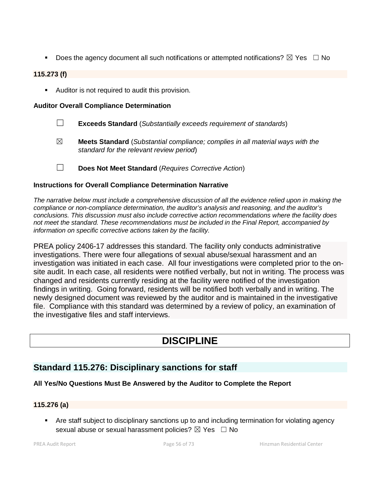Does the agency document all such notifications or attempted notifications?  $\boxtimes$  Yes  $\Box$  No

## **115.273 (f)**

**Auditor is not required to audit this provision.** 

#### **Auditor Overall Compliance Determination**

- ☐ **Exceeds Standard** (*Substantially exceeds requirement of standards*)
- ☒ **Meets Standard** (*Substantial compliance; complies in all material ways with the standard for the relevant review period*)
- ☐ **Does Not Meet Standard** (*Requires Corrective Action*)

## **Instructions for Overall Compliance Determination Narrative**

*The narrative below must include a comprehensive discussion of all the evidence relied upon in making the compliance or non-compliance determination, the auditor's analysis and reasoning, and the auditor's conclusions. This discussion must also include corrective action recommendations where the facility does not meet the standard. These recommendations must be included in the Final Report, accompanied by information on specific corrective actions taken by the facility.*

PREA policy 2406-17 addresses this standard. The facility only conducts administrative investigations. There were four allegations of sexual abuse/sexual harassment and an investigation was initiated in each case. All four investigations were completed prior to the onsite audit. In each case, all residents were notified verbally, but not in writing. The process was changed and residents currently residing at the facility were notified of the investigation findings in writing. Going forward, residents will be notified both verbally and in writing. The newly designed document was reviewed by the auditor and is maintained in the investigative file. Compliance with this standard was determined by a review of policy, an examination of the investigative files and staff interviews.

# **DISCIPLINE**

## **Standard 115.276: Disciplinary sanctions for staff**

## **All Yes/No Questions Must Be Answered by the Auditor to Complete the Report**

## **115.276 (a)**

 Are staff subject to disciplinary sanctions up to and including termination for violating agency sexual abuse or sexual harassment policies?  $\boxtimes$  Yes  $\Box$  No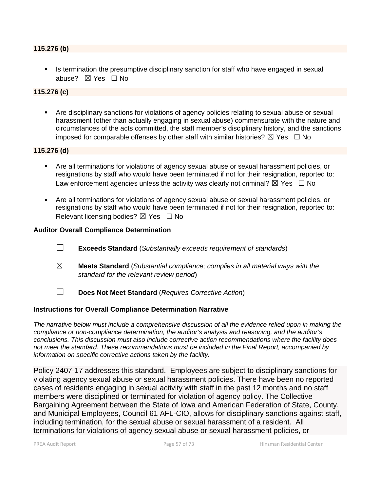#### **115.276 (b)**

Is termination the presumptive disciplinary sanction for staff who have engaged in sexual abuse?  $⊠$  Yes  $□$  No

### **115.276 (c)**

 Are disciplinary sanctions for violations of agency policies relating to sexual abuse or sexual harassment (other than actually engaging in sexual abuse) commensurate with the nature and circumstances of the acts committed, the staff member's disciplinary history, and the sanctions imposed for comparable offenses by other staff with similar histories?  $\boxtimes$  Yes  $\Box$  No

#### **115.276 (d)**

- Are all terminations for violations of agency sexual abuse or sexual harassment policies, or resignations by staff who would have been terminated if not for their resignation, reported to: Law enforcement agencies unless the activity was clearly not criminal?  $\boxtimes$  Yes  $\Box$  No
- Are all terminations for violations of agency sexual abuse or sexual harassment policies, or resignations by staff who would have been terminated if not for their resignation, reported to: Relevant licensing bodies?  $\boxtimes$  Yes  $\Box$  No

#### **Auditor Overall Compliance Determination**

- ☐ **Exceeds Standard** (*Substantially exceeds requirement of standards*)
- ☒ **Meets Standard** (*Substantial compliance; complies in all material ways with the standard for the relevant review period*)
- ☐ **Does Not Meet Standard** (*Requires Corrective Action*)

#### **Instructions for Overall Compliance Determination Narrative**

*The narrative below must include a comprehensive discussion of all the evidence relied upon in making the compliance or non-compliance determination, the auditor's analysis and reasoning, and the auditor's conclusions. This discussion must also include corrective action recommendations where the facility does not meet the standard. These recommendations must be included in the Final Report, accompanied by information on specific corrective actions taken by the facility.*

Policy 2407-17 addresses this standard. Employees are subject to disciplinary sanctions for violating agency sexual abuse or sexual harassment policies. There have been no reported cases of residents engaging in sexual activity with staff in the past 12 months and no staff members were disciplined or terminated for violation of agency policy. The Collective Bargaining Agreement between the State of Iowa and American Federation of State, County, and Municipal Employees, Council 61 AFL-CIO, allows for disciplinary sanctions against staff, including termination, for the sexual abuse or sexual harassment of a resident. All terminations for violations of agency sexual abuse or sexual harassment policies, or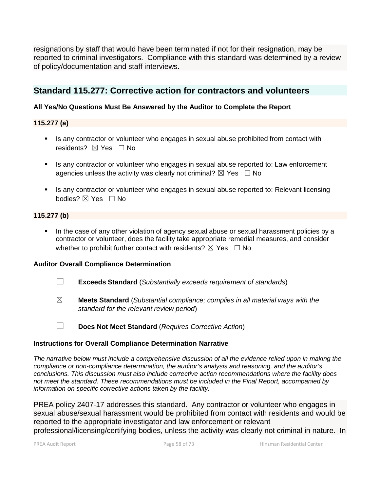resignations by staff that would have been terminated if not for their resignation, may be reported to criminal investigators. Compliance with this standard was determined by a review of policy/documentation and staff interviews.

# **Standard 115.277: Corrective action for contractors and volunteers**

## **All Yes/No Questions Must Be Answered by the Auditor to Complete the Report**

## **115.277 (a)**

- Is any contractor or volunteer who engages in sexual abuse prohibited from contact with residents? **⊠** Yes □ No
- Is any contractor or volunteer who engages in sexual abuse reported to: Law enforcement agencies unless the activity was clearly not criminal?  $\boxtimes$  Yes  $\Box$  No
- Is any contractor or volunteer who engages in sexual abuse reported to: Relevant licensing bodies? ⊠ Yes □ No

## **115.277 (b)**

In the case of any other violation of agency sexual abuse or sexual harassment policies by a contractor or volunteer, does the facility take appropriate remedial measures, and consider whether to prohibit further contact with residents?  $\boxtimes$  Yes  $\Box$  No

## **Auditor Overall Compliance Determination**

- ☐ **Exceeds Standard** (*Substantially exceeds requirement of standards*)
- ☒ **Meets Standard** (*Substantial compliance; complies in all material ways with the standard for the relevant review period*)
- ☐ **Does Not Meet Standard** (*Requires Corrective Action*)

## **Instructions for Overall Compliance Determination Narrative**

*The narrative below must include a comprehensive discussion of all the evidence relied upon in making the compliance or non-compliance determination, the auditor's analysis and reasoning, and the auditor's conclusions. This discussion must also include corrective action recommendations where the facility does not meet the standard. These recommendations must be included in the Final Report, accompanied by information on specific corrective actions taken by the facility.*

PREA policy 2407-17 addresses this standard. Any contractor or volunteer who engages in sexual abuse/sexual harassment would be prohibited from contact with residents and would be reported to the appropriate investigator and law enforcement or relevant professional/licensing/certifying bodies, unless the activity was clearly not criminal in nature. In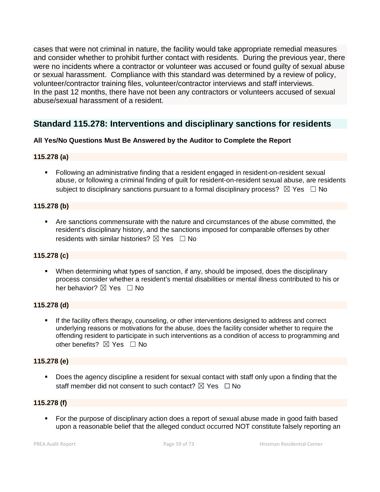cases that were not criminal in nature, the facility would take appropriate remedial measures and consider whether to prohibit further contact with residents. During the previous year, there were no incidents where a contractor or volunteer was accused or found guilty of sexual abuse or sexual harassment. Compliance with this standard was determined by a review of policy, volunteer/contractor training files, volunteer/contractor interviews and staff interviews. In the past 12 months, there have not been any contractors or volunteers accused of sexual abuse/sexual harassment of a resident.

# **Standard 115.278: Interventions and disciplinary sanctions for residents**

## **All Yes/No Questions Must Be Answered by the Auditor to Complete the Report**

## **115.278 (a)**

 Following an administrative finding that a resident engaged in resident-on-resident sexual abuse, or following a criminal finding of guilt for resident-on-resident sexual abuse, are residents subject to disciplinary sanctions pursuant to a formal disciplinary process?  $\boxtimes$  Yes  $\Box$  No

## **115.278 (b)**

 Are sanctions commensurate with the nature and circumstances of the abuse committed, the resident's disciplinary history, and the sanctions imposed for comparable offenses by other residents with similar histories?  $\boxtimes$  Yes  $\Box$  No

## **115.278 (c)**

 When determining what types of sanction, if any, should be imposed, does the disciplinary process consider whether a resident's mental disabilities or mental illness contributed to his or her behavior? ⊠ Yes □ No

#### **115.278 (d)**

 If the facility offers therapy, counseling, or other interventions designed to address and correct underlying reasons or motivations for the abuse, does the facility consider whether to require the offending resident to participate in such interventions as a condition of access to programming and other benefits?  $\boxtimes$  Yes  $\Box$  No

#### **115.278 (e)**

 Does the agency discipline a resident for sexual contact with staff only upon a finding that the staff member did not consent to such contact?  $\boxtimes$  Yes  $\Box$  No

## **115.278 (f)**

 For the purpose of disciplinary action does a report of sexual abuse made in good faith based upon a reasonable belief that the alleged conduct occurred NOT constitute falsely reporting an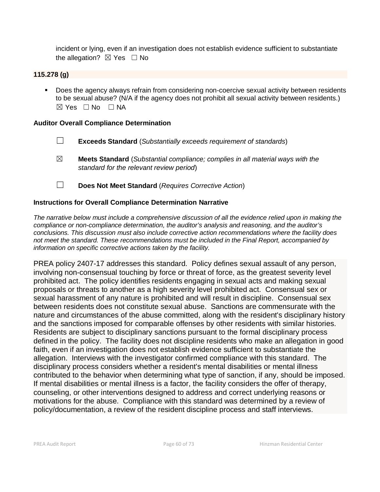incident or lying, even if an investigation does not establish evidence sufficient to substantiate the allegation?  $\boxtimes$  Yes  $\Box$  No

### **115.278 (g)**

 Does the agency always refrain from considering non-coercive sexual activity between residents to be sexual abuse? (N/A if the agency does not prohibit all sexual activity between residents.)  $\boxtimes$  Yes  $\Box$  No  $\Box$  NA

#### **Auditor Overall Compliance Determination**

- ☐ **Exceeds Standard** (*Substantially exceeds requirement of standards*)
- ☒ **Meets Standard** (*Substantial compliance; complies in all material ways with the standard for the relevant review period*)
- ☐ **Does Not Meet Standard** (*Requires Corrective Action*)

#### **Instructions for Overall Compliance Determination Narrative**

*The narrative below must include a comprehensive discussion of all the evidence relied upon in making the compliance or non-compliance determination, the auditor's analysis and reasoning, and the auditor's conclusions. This discussion must also include corrective action recommendations where the facility does not meet the standard. These recommendations must be included in the Final Report, accompanied by information on specific corrective actions taken by the facility.*

PREA policy 2407-17 addresses this standard. Policy defines sexual assault of any person, involving non-consensual touching by force or threat of force, as the greatest severity level prohibited act. The policy identifies residents engaging in sexual acts and making sexual proposals or threats to another as a high severity level prohibited act. Consensual sex or sexual harassment of any nature is prohibited and will result in discipline. Consensual sex between residents does not constitute sexual abuse. Sanctions are commensurate with the nature and circumstances of the abuse committed, along with the resident's disciplinary history and the sanctions imposed for comparable offenses by other residents with similar histories. Residents are subject to disciplinary sanctions pursuant to the formal disciplinary process defined in the policy. The facility does not discipline residents who make an allegation in good faith, even if an investigation does not establish evidence sufficient to substantiate the allegation. Interviews with the investigator confirmed compliance with this standard. The disciplinary process considers whether a resident's mental disabilities or mental illness contributed to the behavior when determining what type of sanction, if any, should be imposed. If mental disabilities or mental illness is a factor, the facility considers the offer of therapy, counseling, or other interventions designed to address and correct underlying reasons or motivations for the abuse. Compliance with this standard was determined by a review of policy/documentation, a review of the resident discipline process and staff interviews.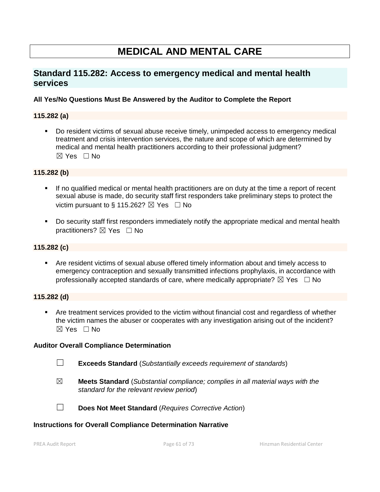# **MEDICAL AND MENTAL CARE**

# **Standard 115.282: Access to emergency medical and mental health services**

## **All Yes/No Questions Must Be Answered by the Auditor to Complete the Report**

## **115.282 (a)**

 Do resident victims of sexual abuse receive timely, unimpeded access to emergency medical treatment and crisis intervention services, the nature and scope of which are determined by medical and mental health practitioners according to their professional judgment?  $\boxtimes$  Yes  $\Box$  No

#### **115.282 (b)**

- If no qualified medical or mental health practitioners are on duty at the time a report of recent sexual abuse is made, do security staff first responders take preliminary steps to protect the victim pursuant to § 115.262?  $\boxtimes$  Yes  $\Box$  No
- Do security staff first responders immediately notify the appropriate medical and mental health practitioners? ⊠ Yes □ No

#### **115.282 (c)**

 Are resident victims of sexual abuse offered timely information about and timely access to emergency contraception and sexually transmitted infections prophylaxis, in accordance with professionally accepted standards of care, where medically appropriate?  $\boxtimes$  Yes  $\Box$  No

#### **115.282 (d)**

 Are treatment services provided to the victim without financial cost and regardless of whether the victim names the abuser or cooperates with any investigation arising out of the incident?  $\boxtimes$  Yes  $\Box$  No

#### **Auditor Overall Compliance Determination**

- ☐ **Exceeds Standard** (*Substantially exceeds requirement of standards*)
- ☒ **Meets Standard** (*Substantial compliance; complies in all material ways with the standard for the relevant review period*)
- 
- ☐ **Does Not Meet Standard** (*Requires Corrective Action*)

#### **Instructions for Overall Compliance Determination Narrative**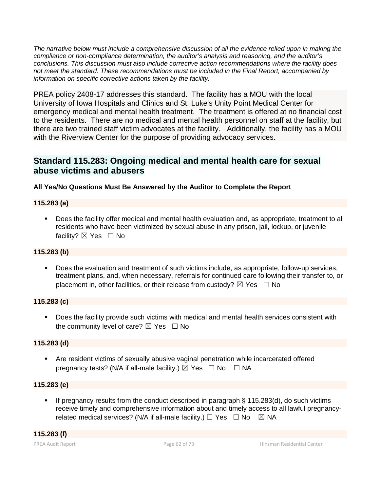*The narrative below must include a comprehensive discussion of all the evidence relied upon in making the compliance or non-compliance determination, the auditor's analysis and reasoning, and the auditor's conclusions. This discussion must also include corrective action recommendations where the facility does not meet the standard. These recommendations must be included in the Final Report, accompanied by information on specific corrective actions taken by the facility.*

PREA policy 2408-17 addresses this standard. The facility has a MOU with the local University of Iowa Hospitals and Clinics and St. Luke's Unity Point Medical Center for emergency medical and mental health treatment. The treatment is offered at no financial cost to the residents. There are no medical and mental health personnel on staff at the facility, but there are two trained staff victim advocates at the facility. Additionally, the facility has a MOU with the Riverview Center for the purpose of providing advocacy services.

# **Standard 115.283: Ongoing medical and mental health care for sexual abuse victims and abusers**

## **All Yes/No Questions Must Be Answered by the Auditor to Complete the Report**

## **115.283 (a)**

 Does the facility offer medical and mental health evaluation and, as appropriate, treatment to all residents who have been victimized by sexual abuse in any prison, jail, lockup, or juvenile facility? ⊠ Yes □ No

## **115.283 (b)**

 Does the evaluation and treatment of such victims include, as appropriate, follow-up services, treatment plans, and, when necessary, referrals for continued care following their transfer to, or placement in, other facilities, or their release from custody?  $\boxtimes$  Yes  $\Box$  No

## **115.283 (c)**

**Does the facility provide such victims with medical and mental health services consistent with** the community level of care?  $\boxtimes$  Yes  $\Box$  No

## **115.283 (d)**

 Are resident victims of sexually abusive vaginal penetration while incarcerated offered pregnancy tests? (N/A if all-male facility.)  $\boxtimes$  Yes  $\Box$  No  $\Box$  NA

## **115.283 (e)**

 If pregnancy results from the conduct described in paragraph § 115.283(d), do such victims receive timely and comprehensive information about and timely access to all lawful pregnancyrelated medical services? (N/A if all-male facility.)  $\Box$  Yes  $\Box$  No  $\boxtimes$  NA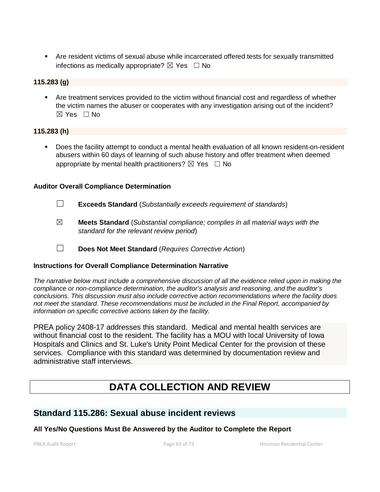Are resident victims of sexual abuse while incarcerated offered tests for sexually transmitted infections as medically appropriate?  $\boxtimes$  Yes  $\Box$  No

## **115.283 (g)**

 Are treatment services provided to the victim without financial cost and regardless of whether the victim names the abuser or cooperates with any investigation arising out of the incident?  $\boxtimes$  Yes  $\Box$  No

## **115.283 (h)**

 Does the facility attempt to conduct a mental health evaluation of all known resident-on-resident abusers within 60 days of learning of such abuse history and offer treatment when deemed appropriate by mental health practitioners?  $\boxtimes$  Yes  $\Box$  No

## **Auditor Overall Compliance Determination**

- ☐ **Exceeds Standard** (*Substantially exceeds requirement of standards*)
- ☒ **Meets Standard** (*Substantial compliance; complies in all material ways with the standard for the relevant review period*)
- ☐ **Does Not Meet Standard** (*Requires Corrective Action*)

## **Instructions for Overall Compliance Determination Narrative**

*The narrative below must include a comprehensive discussion of all the evidence relied upon in making the compliance or non-compliance determination, the auditor's analysis and reasoning, and the auditor's conclusions. This discussion must also include corrective action recommendations where the facility does not meet the standard. These recommendations must be included in the Final Report, accompanied by information on specific corrective actions taken by the facility.*

PREA policy 2408-17 addresses this standard. Medical and mental health services are without financial cost to the resident. The facility has a MOU with local University of Iowa Hospitals and Clinics and St. Luke's Unity Point Medical Center for the provision of these services. Compliance with this standard was determined by documentation review and administrative staff interviews.

# **DATA COLLECTION AND REVIEW**

## **Standard 115.286: Sexual abuse incident reviews**

## **All Yes/No Questions Must Be Answered by the Auditor to Complete the Report**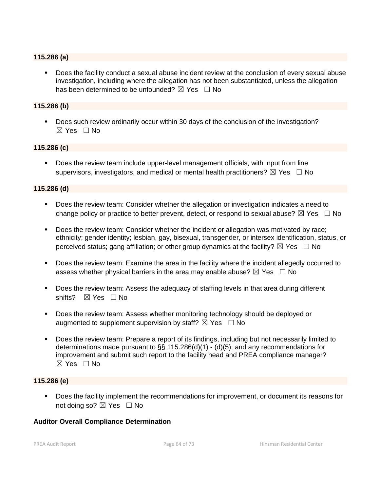#### **115.286 (a)**

 Does the facility conduct a sexual abuse incident review at the conclusion of every sexual abuse investigation, including where the allegation has not been substantiated, unless the allegation has been determined to be unfounded?  $\boxtimes$  Yes  $\Box$  No

### **115.286 (b)**

 Does such review ordinarily occur within 30 days of the conclusion of the investigation?  $\boxtimes$  Yes  $\Box$  No

#### **115.286 (c)**

 Does the review team include upper-level management officials, with input from line supervisors, investigators, and medical or mental health practitioners?  $\boxtimes$  Yes  $\Box$  No

### **115.286 (d)**

- Does the review team: Consider whether the allegation or investigation indicates a need to change policy or practice to better prevent, detect, or respond to sexual abuse?  $\boxtimes$  Yes  $\Box$  No
- Does the review team: Consider whether the incident or allegation was motivated by race; ethnicity; gender identity; lesbian, gay, bisexual, transgender, or intersex identification, status, or perceived status; gang affiliation; or other group dynamics at the facility?  $\boxtimes$  Yes  $\Box$  No
- **Does the review team: Examine the area in the facility where the incident allegedly occurred to** assess whether physical barriers in the area may enable abuse?  $\boxtimes$  Yes  $\Box$  No
- Does the review team: Assess the adequacy of staffing levels in that area during different shifts? ⊠ Yes □ No
- **Does the review team: Assess whether monitoring technology should be deployed or** augmented to supplement supervision by staff?  $\boxtimes$  Yes  $\Box$  No
- Does the review team: Prepare a report of its findings, including but not necessarily limited to determinations made pursuant to §§ 115.286(d)(1) - (d)(5), and any recommendations for improvement and submit such report to the facility head and PREA compliance manager?  $\boxtimes$  Yes  $\Box$  No

#### **115.286 (e)**

**Does the facility implement the recommendations for improvement, or document its reasons for** not doing so?  $\boxtimes$  Yes  $\Box$  No

#### **Auditor Overall Compliance Determination**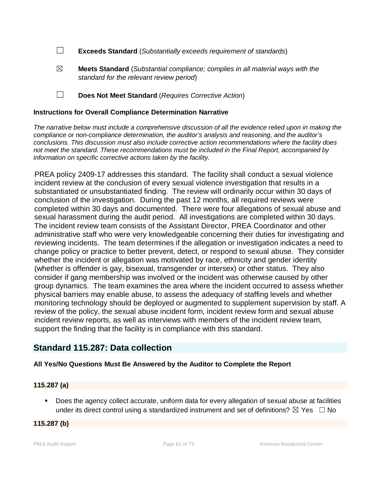- ☐ **Exceeds Standard** (*Substantially exceeds requirement of standards*)
- ☒ **Meets Standard** (*Substantial compliance; complies in all material ways with the standard for the relevant review period*)
- ☐ **Does Not Meet Standard** (*Requires Corrective Action*)

### **Instructions for Overall Compliance Determination Narrative**

*The narrative below must include a comprehensive discussion of all the evidence relied upon in making the compliance or non-compliance determination, the auditor's analysis and reasoning, and the auditor's conclusions. This discussion must also include corrective action recommendations where the facility does not meet the standard. These recommendations must be included in the Final Report, accompanied by information on specific corrective actions taken by the facility.*

PREA policy 2409-17 addresses this standard. The facility shall conduct a sexual violence incident review at the conclusion of every sexual violence investigation that results in a substantiated or unsubstantiated finding. The review will ordinarily occur within 30 days of conclusion of the investigation. During the past 12 months, all required reviews were completed within 30 days and documented. There were four allegations of sexual abuse and sexual harassment during the audit period. All investigations are completed within 30 days. The incident review team consists of the Assistant Director, PREA Coordinator and other administrative staff who were very knowledgeable concerning their duties for investigating and reviewing incidents. The team determines if the allegation or investigation indicates a need to change policy or practice to better prevent, detect, or respond to sexual abuse. They consider whether the incident or allegation was motivated by race, ethnicity and gender identity (whether is offender is gay, bisexual, transgender or intersex) or other status. They also consider if gang membership was involved or the incident was otherwise caused by other group dynamics. The team examines the area where the incident occurred to assess whether physical barriers may enable abuse, to assess the adequacy of staffing levels and whether monitoring technology should be deployed or augmented to supplement supervision by staff. A review of the policy, the sexual abuse incident form, incident review form and sexual abuse incident review reports, as well as interviews with members of the incident review team, support the finding that the facility is in compliance with this standard.

## **Standard 115.287: Data collection**

## **All Yes/No Questions Must Be Answered by the Auditor to Complete the Report**

## **115.287 (a)**

 Does the agency collect accurate, uniform data for every allegation of sexual abuse at facilities under its direct control using a standardized instrument and set of definitions?  $\boxtimes$  Yes  $\Box$  No

## **115.287 (b)**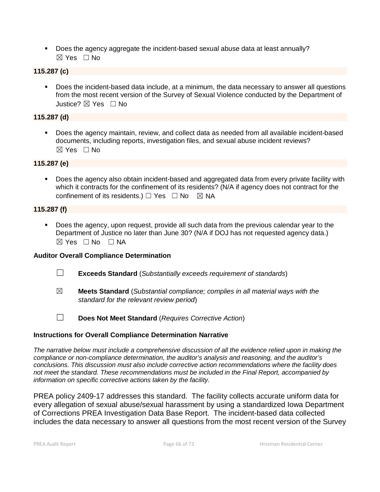Does the agency aggregate the incident-based sexual abuse data at least annually?  $\boxtimes$  Yes  $\Box$  No

## **115.287 (c)**

 Does the incident-based data include, at a minimum, the data necessary to answer all questions from the most recent version of the Survey of Sexual Violence conducted by the Department of Justice? ☒ Yes ☐ No

## **115.287 (d)**

 Does the agency maintain, review, and collect data as needed from all available incident-based documents, including reports, investigation files, and sexual abuse incident reviews? ☒ Yes ☐ No

#### **115.287 (e)**

Does the agency also obtain incident-based and aggregated data from every private facility with which it contracts for the confinement of its residents? (N/A if agency does not contract for the confinement of its residents.)  $\Box$  Yes  $\Box$  No  $\boxtimes$  NA

#### **115.287 (f)**

Does the agency, upon request, provide all such data from the previous calendar year to the Department of Justice no later than June 30? (N/A if DOJ has not requested agency data.) ☒ Yes ☐ No ☐ NA

## **Auditor Overall Compliance Determination**

- ☐ **Exceeds Standard** (*Substantially exceeds requirement of standards*)
- ☒ **Meets Standard** (*Substantial compliance; complies in all material ways with the standard for the relevant review period*)

☐ **Does Not Meet Standard** (*Requires Corrective Action*)

## **Instructions for Overall Compliance Determination Narrative**

*The narrative below must include a comprehensive discussion of all the evidence relied upon in making the compliance or non-compliance determination, the auditor's analysis and reasoning, and the auditor's conclusions. This discussion must also include corrective action recommendations where the facility does not meet the standard. These recommendations must be included in the Final Report, accompanied by information on specific corrective actions taken by the facility.*

PREA policy 2409-17 addresses this standard. The facility collects accurate uniform data for every allegation of sexual abuse/sexual harassment by using a standardized Iowa Department of Corrections PREA Investigation Data Base Report. The incident-based data collected includes the data necessary to answer all questions from the most recent version of the Survey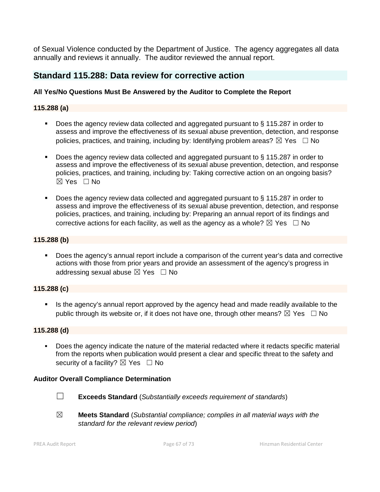of Sexual Violence conducted by the Department of Justice. The agency aggregates all data annually and reviews it annually. The auditor reviewed the annual report.

# **Standard 115.288: Data review for corrective action**

## **All Yes/No Questions Must Be Answered by the Auditor to Complete the Report**

## **115.288 (a)**

- Does the agency review data collected and aggregated pursuant to § 115.287 in order to assess and improve the effectiveness of its sexual abuse prevention, detection, and response policies, practices, and training, including by: Identifying problem areas?  $\boxtimes$  Yes  $\Box$  No
- Does the agency review data collected and aggregated pursuant to § 115.287 in order to assess and improve the effectiveness of its sexual abuse prevention, detection, and response policies, practices, and training, including by: Taking corrective action on an ongoing basis?  $\boxtimes$  Yes  $\Box$  No
- Does the agency review data collected and aggregated pursuant to § 115.287 in order to assess and improve the effectiveness of its sexual abuse prevention, detection, and response policies, practices, and training, including by: Preparing an annual report of its findings and corrective actions for each facility, as well as the agency as a whole?  $\boxtimes$  Yes  $\Box$  No

## **115.288 (b)**

 Does the agency's annual report include a comparison of the current year's data and corrective actions with those from prior years and provide an assessment of the agency's progress in addressing sexual abuse  $\boxtimes$  Yes  $\Box$  No

## **115.288 (c)**

If is the agency's annual report approved by the agency head and made readily available to the public through its website or, if it does not have one, through other means?  $\boxtimes$  Yes  $\Box$  No

## **115.288 (d)**

 Does the agency indicate the nature of the material redacted where it redacts specific material from the reports when publication would present a clear and specific threat to the safety and security of a facility?  $\boxtimes$  Yes  $\Box$  No

## **Auditor Overall Compliance Determination**

- 
- ☐ **Exceeds Standard** (*Substantially exceeds requirement of standards*)
- ☒ **Meets Standard** (*Substantial compliance; complies in all material ways with the standard for the relevant review period*)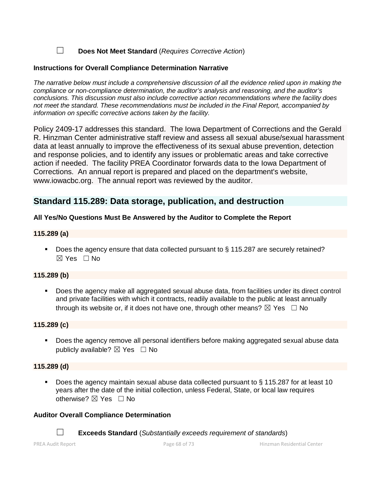☐ **Does Not Meet Standard** (*Requires Corrective Action*)

## **Instructions for Overall Compliance Determination Narrative**

*The narrative below must include a comprehensive discussion of all the evidence relied upon in making the compliance or non-compliance determination, the auditor's analysis and reasoning, and the auditor's conclusions. This discussion must also include corrective action recommendations where the facility does not meet the standard. These recommendations must be included in the Final Report, accompanied by information on specific corrective actions taken by the facility.*

Policy 2409-17 addresses this standard. The Iowa Department of Corrections and the Gerald R. Hinzman Center administrative staff review and assess all sexual abuse/sexual harassment data at least annually to improve the effectiveness of its sexual abuse prevention, detection and response policies, and to identify any issues or problematic areas and take corrective action if needed. The facility PREA Coordinator forwards data to the Iowa Department of Corrections. An annual report is prepared and placed on the department's website, www.iowacbc.org. The annual report was reviewed by the auditor.

# **Standard 115.289: Data storage, publication, and destruction**

## **All Yes/No Questions Must Be Answered by the Auditor to Complete the Report**

## **115.289 (a)**

Does the agency ensure that data collected pursuant to § 115.287 are securely retained?  $\boxtimes$  Yes  $\Box$  No

## **115.289 (b)**

 Does the agency make all aggregated sexual abuse data, from facilities under its direct control and private facilities with which it contracts, readily available to the public at least annually through its website or, if it does not have one, through other means?  $\boxtimes$  Yes  $\Box$  No

#### **115.289 (c)**

**Does the agency remove all personal identifiers before making aggregated sexual abuse data** publicly available?  $\boxtimes$  Yes  $\Box$  No

#### **115.289 (d)**

 Does the agency maintain sexual abuse data collected pursuant to § 115.287 for at least 10 years after the date of the initial collection, unless Federal, State, or local law requires otherwise? ⊠ Yes □ No

## **Auditor Overall Compliance Determination**

☐ **Exceeds Standard** (*Substantially exceeds requirement of standards*)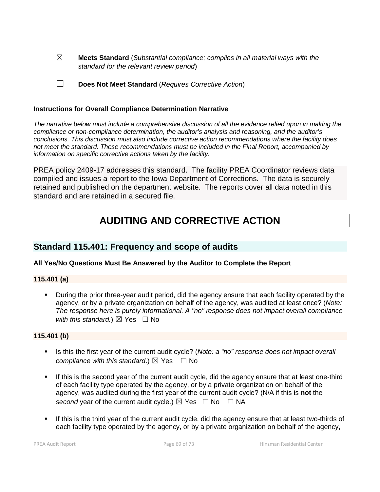☒ **Meets Standard** (*Substantial compliance; complies in all material ways with the standard for the relevant review period*)

## **Instructions for Overall Compliance Determination Narrative**

*The narrative below must include a comprehensive discussion of all the evidence relied upon in making the compliance or non-compliance determination, the auditor's analysis and reasoning, and the auditor's conclusions. This discussion must also include corrective action recommendations where the facility does not meet the standard. These recommendations must be included in the Final Report, accompanied by information on specific corrective actions taken by the facility.*

PREA policy 2409-17 addresses this standard. The facility PREA Coordinator reviews data compiled and issues a report to the Iowa Department of Corrections. The data is securely retained and published on the department website. The reports cover all data noted in this standard and are retained in a secured file.

# **AUDITING AND CORRECTIVE ACTION**

# **Standard 115.401: Frequency and scope of audits**

## **All Yes/No Questions Must Be Answered by the Auditor to Complete the Report**

## **115.401 (a)**

 During the prior three-year audit period, did the agency ensure that each facility operated by the agency, or by a private organization on behalf of the agency, was audited at least once? (*Note: The response here is purely informational. A "no" response does not impact overall compliance with this standard.*)  $\boxtimes$  Yes  $\Box$  No

## **115.401 (b)**

- Is this the first year of the current audit cycle? (*Note: a "no" response does not impact overall compliance with this standard.*)  $\boxtimes$  Yes  $\Box$  No
- If this is the second year of the current audit cycle, did the agency ensure that at least one-third of each facility type operated by the agency, or by a private organization on behalf of the agency, was audited during the first year of the current audit cycle? (N/A if this is **not** the *second* year of the current audit cycle.)  $\boxtimes$  Yes  $\Box$  No  $\Box$  NA
- If this is the third year of the current audit cycle, did the agency ensure that at least two-thirds of each facility type operated by the agency, or by a private organization on behalf of the agency,

<sup>☐</sup> **Does Not Meet Standard** (*Requires Corrective Action*)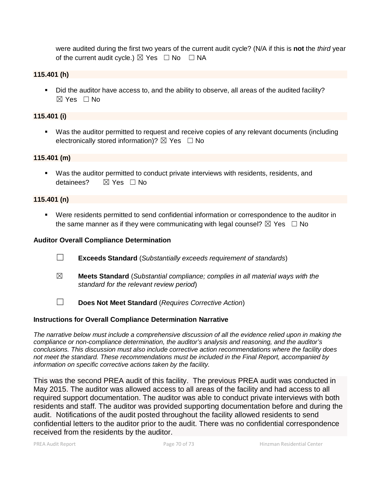were audited during the first two years of the current audit cycle? (N/A if this is **not** the *third* year of the current audit cycle.)  $\boxtimes$  Yes  $\Box$  No  $\Box$  NA

#### **115.401 (h)**

 Did the auditor have access to, and the ability to observe, all areas of the audited facility?  $\boxtimes$  Yes  $\Box$  No

#### **115.401 (i)**

 Was the auditor permitted to request and receive copies of any relevant documents (including electronically stored information)?  $\boxtimes$  Yes  $\Box$  No

#### **115.401 (m)**

 Was the auditor permitted to conduct private interviews with residents, residents, and detainees?  $⊠$  Yes  $□$  No

#### **115.401 (n)**

 Were residents permitted to send confidential information or correspondence to the auditor in the same manner as if they were communicating with legal counsel?  $\boxtimes$  Yes  $\Box$  No

#### **Auditor Overall Compliance Determination**

- ☐ **Exceeds Standard** (*Substantially exceeds requirement of standards*)
- ☒ **Meets Standard** (*Substantial compliance; complies in all material ways with the standard for the relevant review period*)
- ☐ **Does Not Meet Standard** (*Requires Corrective Action*)

## **Instructions for Overall Compliance Determination Narrative**

*The narrative below must include a comprehensive discussion of all the evidence relied upon in making the compliance or non-compliance determination, the auditor's analysis and reasoning, and the auditor's conclusions. This discussion must also include corrective action recommendations where the facility does not meet the standard. These recommendations must be included in the Final Report, accompanied by information on specific corrective actions taken by the facility.*

This was the second PREA audit of this facility. The previous PREA audit was conducted in May 2015. The auditor was allowed access to all areas of the facility and had access to all required support documentation. The auditor was able to conduct private interviews with both residents and staff. The auditor was provided supporting documentation before and during the audit. Notifications of the audit posted throughout the facility allowed residents to send confidential letters to the auditor prior to the audit. There was no confidential correspondence received from the residents by the auditor.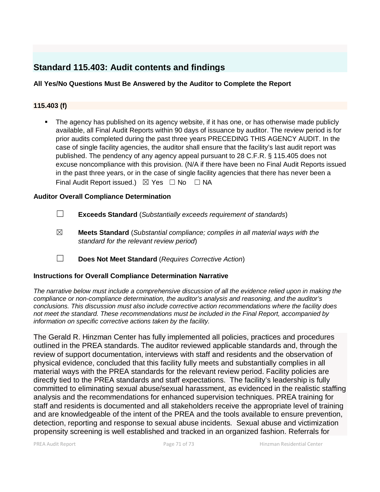# **Standard 115.403: Audit contents and findings**

## **All Yes/No Questions Must Be Answered by the Auditor to Complete the Report**

## **115.403 (f)**

 The agency has published on its agency website, if it has one, or has otherwise made publicly available, all Final Audit Reports within 90 days of issuance by auditor. The review period is for prior audits completed during the past three years PRECEDING THIS AGENCY AUDIT. In the case of single facility agencies, the auditor shall ensure that the facility's last audit report was published. The pendency of any agency appeal pursuant to 28 C.F.R. § 115.405 does not excuse noncompliance with this provision. (N/A if there have been no Final Audit Reports issued in the past three years, or in the case of single facility agencies that there has never been a Final Audit Report issued.)  $\boxtimes$  Yes  $\Box$  No  $\Box$  NA

## **Auditor Overall Compliance Determination**

- ☐ **Exceeds Standard** (*Substantially exceeds requirement of standards*)
- ☒ **Meets Standard** (*Substantial compliance; complies in all material ways with the standard for the relevant review period*)
- ☐ **Does Not Meet Standard** (*Requires Corrective Action*)

## **Instructions for Overall Compliance Determination Narrative**

*The narrative below must include a comprehensive discussion of all the evidence relied upon in making the compliance or non-compliance determination, the auditor's analysis and reasoning, and the auditor's conclusions. This discussion must also include corrective action recommendations where the facility does not meet the standard. These recommendations must be included in the Final Report, accompanied by information on specific corrective actions taken by the facility.*

The Gerald R. Hinzman Center has fully implemented all policies, practices and procedures outlined in the PREA standards. The auditor reviewed applicable standards and, through the review of support documentation, interviews with staff and residents and the observation of physical evidence, concluded that this facility fully meets and substantially complies in all material ways with the PREA standards for the relevant review period. Facility policies are directly tied to the PREA standards and staff expectations. The facility's leadership is fully committed to eliminating sexual abuse/sexual harassment, as evidenced in the realistic staffing analysis and the recommendations for enhanced supervision techniques. PREA training for staff and residents is documented and all stakeholders receive the appropriate level of training and are knowledgeable of the intent of the PREA and the tools available to ensure prevention, detection, reporting and response to sexual abuse incidents. Sexual abuse and victimization propensity screening is well established and tracked in an organized fashion. Referrals for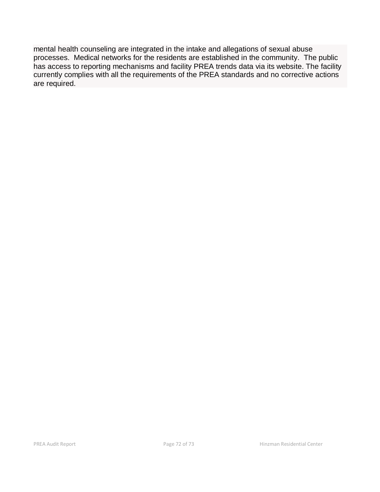mental health counseling are integrated in the intake and allegations of sexual abuse processes. Medical networks for the residents are established in the community. The public has access to reporting mechanisms and facility PREA trends data via its website. The facility currently complies with all the requirements of the PREA standards and no corrective actions are required.